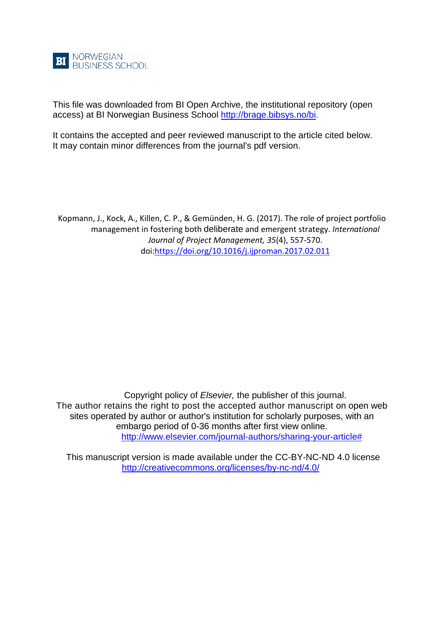

This file was downloaded from BI Open Archive, the institutional repository (open access) at BI Norwegian Business School [http://brage.bibsys.no/bi.](http://brage.bibsys.no/bi)

It contains the accepted and peer reviewed manuscript to the article cited below. It may contain minor differences from the journal's pdf version.

Kopmann, J., Kock, A., Killen, C. P., & Gemünden, H. G. (2017). The role of project portfolio management in fostering both deliberate and emergent strategy. *International Journal of Project Management, 35*(4), 557-570. doi[:https://doi.org/10.1016/j.ijproman.2017.02.011](https://doi.org/10.1016/j.ijproman.2017.02.011)

Copyright policy of *Elsevier,* the publisher of this journal. The author retains the right to post the accepted author manuscript on open web sites operated by author or author's institution for scholarly purposes, with an embargo period of 0-36 months after first view online. [http://www.elsevier.com/journal-authors/sharing-your-article#](http://www.elsevier.com/journal-authors/sharing-your-article)

This manuscript version is made available under the CC-BY-NC-ND 4.0 license <http://creativecommons.org/licenses/by-nc-nd/4.0/>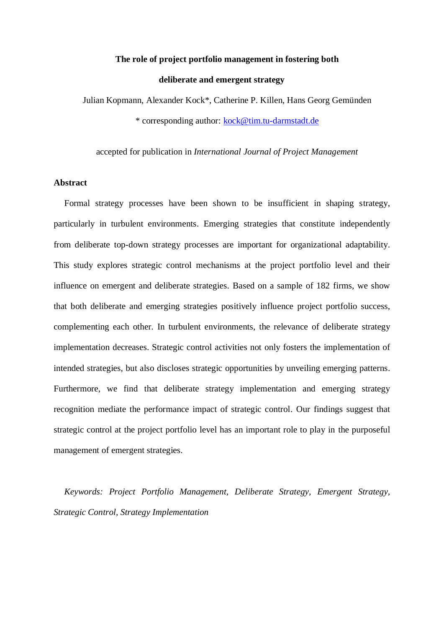## **The role of project portfolio management in fostering both**

## **deliberate and emergent strategy**

Julian Kopmann, Alexander Kock\*, Catherine P. Killen, Hans Georg Gemünden \* corresponding author: [kock@tim.tu-darmstadt.de](mailto:kock@tim.tu-darmstadt.de)

accepted for publication in *International Journal of Project Management*

### **Abstract**

Formal strategy processes have been shown to be insufficient in shaping strategy, particularly in turbulent environments. Emerging strategies that constitute independently from deliberate top-down strategy processes are important for organizational adaptability. This study explores strategic control mechanisms at the project portfolio level and their influence on emergent and deliberate strategies. Based on a sample of 182 firms, we show that both deliberate and emerging strategies positively influence project portfolio success, complementing each other. In turbulent environments, the relevance of deliberate strategy implementation decreases. Strategic control activities not only fosters the implementation of intended strategies, but also discloses strategic opportunities by unveiling emerging patterns. Furthermore, we find that deliberate strategy implementation and emerging strategy recognition mediate the performance impact of strategic control. Our findings suggest that strategic control at the project portfolio level has an important role to play in the purposeful management of emergent strategies.

*Keywords: Project Portfolio Management, Deliberate Strategy, Emergent Strategy, Strategic Control, Strategy Implementation*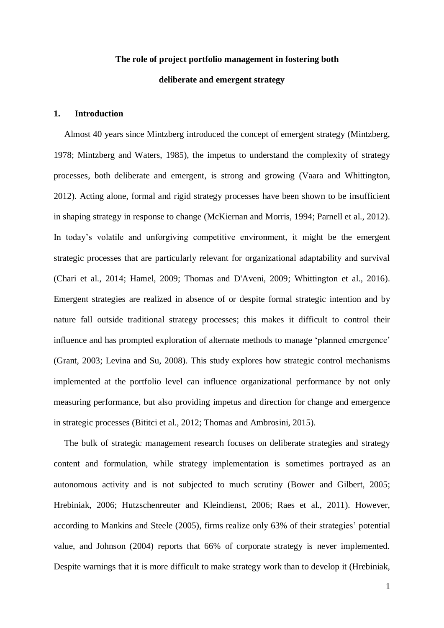# **The role of project portfolio management in fostering both deliberate and emergent strategy**

## **1. Introduction**

Almost 40 years since Mintzberg introduced the concept of emergent strategy [\(Mintzberg,](#page-32-0)  [1978;](#page-32-0) [Mintzberg and Waters, 1985\)](#page-32-1), the impetus to understand the complexity of strategy processes, both deliberate and emergent, is strong and growing [\(Vaara and Whittington,](#page-34-0)  [2012\)](#page-34-0). Acting alone, formal and rigid strategy processes have been shown to be insufficient in shaping strategy in response to change [\(McKiernan and Morris, 1994;](#page-32-2) [Parnell et al., 2012\)](#page-32-3). In today's volatile and unforgiving competitive environment, it might be the emergent strategic processes that are particularly relevant for organizational adaptability and survival [\(Chari et al., 2014;](#page-30-0) [Hamel, 2009;](#page-30-1) [Thomas and D'Aveni, 2009;](#page-33-0) [Whittington et al., 2016\)](#page-34-1). Emergent strategies are realized in absence of or despite formal strategic intention and by nature fall outside traditional strategy processes; this makes it difficult to control their influence and has prompted exploration of alternate methods to manage 'planned emergence' [\(Grant, 2003;](#page-30-2) [Levina and Su, 2008\)](#page-31-0). This study explores how strategic control mechanisms implemented at the portfolio level can influence organizational performance by not only measuring performance, but also providing impetus and direction for change and emergence in strategic processes [\(Bititci et al., 2012;](#page-29-0) [Thomas and Ambrosini, 2015\)](#page-33-1).

The bulk of strategic management research focuses on deliberate strategies and strategy content and formulation, while strategy implementation is sometimes portrayed as an autonomous activity and is not subjected to much scrutiny [\(Bower and Gilbert, 2005;](#page-29-1) [Hrebiniak, 2006;](#page-30-3) [Hutzschenreuter and Kleindienst, 2006;](#page-31-1) [Raes et al., 2011\)](#page-33-2). However, according to Mankins and Steele (2005), firms realize only 63% of their strategies' potential value, and Johnson (2004) reports that 66% of corporate strategy is never implemented. Despite warnings that it is more difficult to make strategy work than to develop it [\(Hrebiniak,](#page-30-3)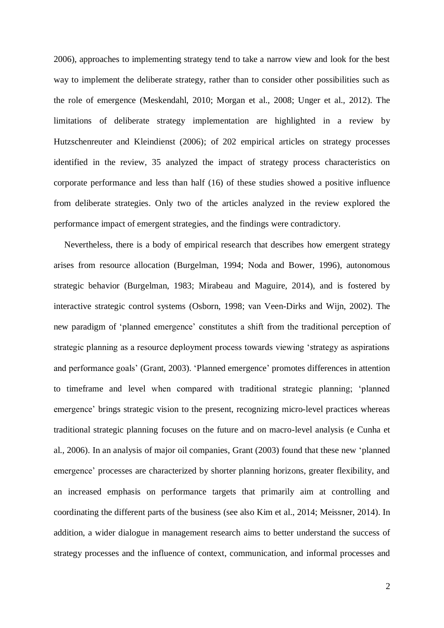[2006\)](#page-30-3), approaches to implementing strategy tend to take a narrow view and look for the best way to implement the deliberate strategy, rather than to consider other possibilities such as the role of emergence [\(Meskendahl, 2010;](#page-32-4) [Morgan et al., 2008;](#page-32-5) [Unger et al., 2012\)](#page-34-2). The limitations of deliberate strategy implementation are highlighted in a review by Hutzschenreuter and Kleindienst (2006); of 202 empirical articles on strategy processes identified in the review, 35 analyzed the impact of strategy process characteristics on corporate performance and less than half (16) of these studies showed a positive influence from deliberate strategies. Only two of the articles analyzed in the review explored the performance impact of emergent strategies, and the findings were contradictory.

Nevertheless, there is a body of empirical research that describes how emergent strategy arises from resource allocation [\(Burgelman, 1994;](#page-29-2) [Noda and Bower, 1996\)](#page-32-6), autonomous strategic behavior [\(Burgelman, 1983;](#page-29-3) [Mirabeau and Maguire, 2014\)](#page-32-7), and is fostered by interactive strategic control systems [\(Osborn, 1998;](#page-32-8) [van Veen-Dirks and Wijn, 2002\)](#page-34-3). The new paradigm of 'planned emergence' constitutes a shift from the traditional perception of strategic planning as a resource deployment process towards viewing 'strategy as aspirations and performance goals' [\(Grant, 2003\)](#page-30-2). 'Planned emergence' promotes differences in attention to timeframe and level when compared with traditional strategic planning; 'planned emergence' brings strategic vision to the present, recognizing micro-level practices whereas traditional strategic planning focuses on the future and on macro-level analysis [\(e Cunha et](#page-30-4)  [al., 2006\)](#page-30-4). In an analysis of major oil companies, Grant (2003) found that these new 'planned emergence' processes are characterized by shorter planning horizons, greater flexibility, and an increased emphasis on performance targets that primarily aim at controlling and coordinating the different parts of the business (see also [Kim et al., 2014;](#page-31-2) [Meissner, 2014\)](#page-32-9). In addition, a wider dialogue in management research aims to better understand the success of strategy processes and the influence of context, communication, and informal processes and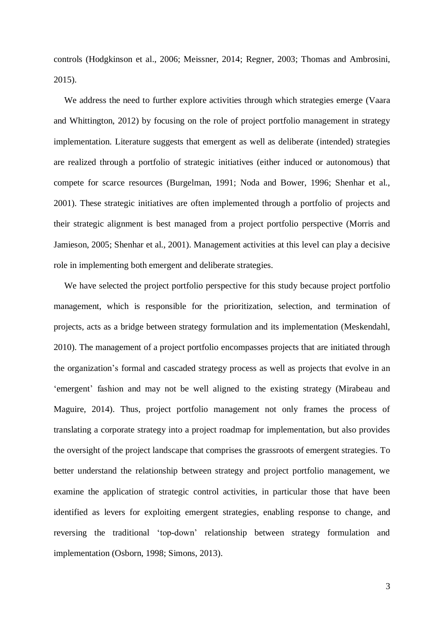controls [\(Hodgkinson et al., 2006;](#page-30-5) [Meissner, 2014;](#page-32-9) [Regner, 2003;](#page-33-3) [Thomas and Ambrosini,](#page-33-1)  [2015\)](#page-33-1).

We address the need to further explore activities through which strategies emerge [\(Vaara](#page-34-0)  [and Whittington, 2012\)](#page-34-0) by focusing on the role of project portfolio management in strategy implementation. Literature suggests that emergent as well as deliberate (intended) strategies are realized through a portfolio of strategic initiatives (either induced or autonomous) that compete for scarce resources [\(Burgelman, 1991;](#page-29-4) [Noda and Bower, 1996;](#page-32-6) [Shenhar et al.,](#page-33-4)  [2001\)](#page-33-4). These strategic initiatives are often implemented through a portfolio of projects and their strategic alignment is best managed from a project portfolio perspective [\(Morris and](#page-32-10)  [Jamieson, 2005;](#page-32-10) [Shenhar et al., 2001\)](#page-33-4). Management activities at this level can play a decisive role in implementing both emergent and deliberate strategies.

We have selected the project portfolio perspective for this study because project portfolio management, which is responsible for the prioritization, selection, and termination of projects, acts as a bridge between strategy formulation and its implementation [\(Meskendahl,](#page-32-4)  [2010\)](#page-32-4). The management of a project portfolio encompasses projects that are initiated through the organization's formal and cascaded strategy process as well as projects that evolve in an 'emergent' fashion and may not be well aligned to the existing strategy [\(Mirabeau and](#page-32-7)  [Maguire, 2014\)](#page-32-7). Thus, project portfolio management not only frames the process of translating a corporate strategy into a project roadmap for implementation, but also provides the oversight of the project landscape that comprises the grassroots of emergent strategies. To better understand the relationship between strategy and project portfolio management, we examine the application of strategic control activities, in particular those that have been identified as levers for exploiting emergent strategies, enabling response to change, and reversing the traditional 'top-down' relationship between strategy formulation and implementation [\(Osborn, 1998;](#page-32-8) [Simons, 2013\)](#page-33-5).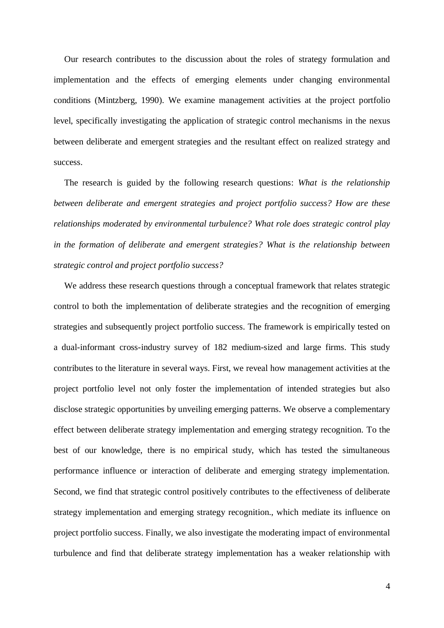Our research contributes to the discussion about the roles of strategy formulation and implementation and the effects of emerging elements under changing environmental conditions [\(Mintzberg, 1990\)](#page-32-11). We examine management activities at the project portfolio level, specifically investigating the application of strategic control mechanisms in the nexus between deliberate and emergent strategies and the resultant effect on realized strategy and success.

The research is guided by the following research questions: *What is the relationship between deliberate and emergent strategies and project portfolio success? How are these relationships moderated by environmental turbulence? What role does strategic control play in the formation of deliberate and emergent strategies? What is the relationship between strategic control and project portfolio success?* 

We address these research questions through a conceptual framework that relates strategic control to both the implementation of deliberate strategies and the recognition of emerging strategies and subsequently project portfolio success. The framework is empirically tested on a dual-informant cross-industry survey of 182 medium-sized and large firms. This study contributes to the literature in several ways. First, we reveal how management activities at the project portfolio level not only foster the implementation of intended strategies but also disclose strategic opportunities by unveiling emerging patterns. We observe a complementary effect between deliberate strategy implementation and emerging strategy recognition. To the best of our knowledge, there is no empirical study, which has tested the simultaneous performance influence or interaction of deliberate and emerging strategy implementation. Second, we find that strategic control positively contributes to the effectiveness of deliberate strategy implementation and emerging strategy recognition., which mediate its influence on project portfolio success. Finally, we also investigate the moderating impact of environmental turbulence and find that deliberate strategy implementation has a weaker relationship with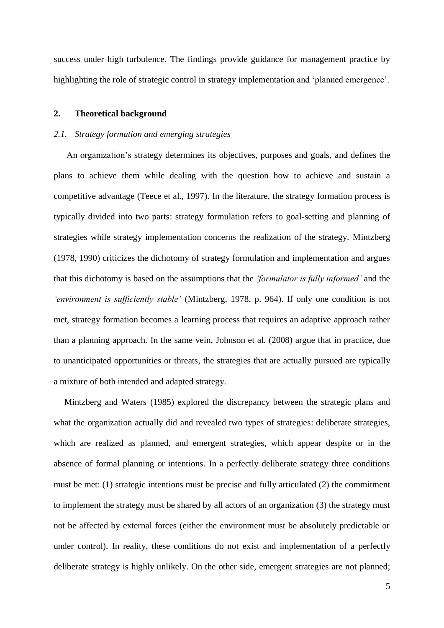success under high turbulence. The findings provide guidance for management practice by highlighting the role of strategic control in strategy implementation and 'planned emergence'.

## **2. Theoretical background**

### *2.1. Strategy formation and emerging strategies*

An organization's strategy determines its objectives, purposes and goals, and defines the plans to achieve them while dealing with the question how to achieve and sustain a competitive advantage [\(Teece et al., 1997\)](#page-33-6). In the literature, the strategy formation process is typically divided into two parts: strategy formulation refers to goal-setting and planning of strategies while strategy implementation concerns the realization of the strategy. Mintzberg [\(1978,](#page-32-0) [1990\)](#page-32-11) criticizes the dichotomy of strategy formulation and implementation and argues that this dichotomy is based on the assumptions that the *'formulator is fully informed'* and the *'environment is sufficiently stable'* [\(Mintzberg, 1978, p. 964\)](#page-32-0). If only one condition is not met, strategy formation becomes a learning process that requires an adaptive approach rather than a planning approach. In the same vein, Johnson et al. [\(2008\)](#page-31-3) argue that in practice, due to unanticipated opportunities or threats, the strategies that are actually pursued are typically a mixture of both intended and adapted strategy.

Mintzberg and Waters [\(1985\)](#page-32-1) explored the discrepancy between the strategic plans and what the organization actually did and revealed two types of strategies: deliberate strategies, which are realized as planned, and emergent strategies, which appear despite or in the absence of formal planning or intentions. In a perfectly deliberate strategy three conditions must be met: (1) strategic intentions must be precise and fully articulated (2) the commitment to implement the strategy must be shared by all actors of an organization (3) the strategy must not be affected by external forces (either the environment must be absolutely predictable or under control). In reality, these conditions do not exist and implementation of a perfectly deliberate strategy is highly unlikely. On the other side, emergent strategies are not planned;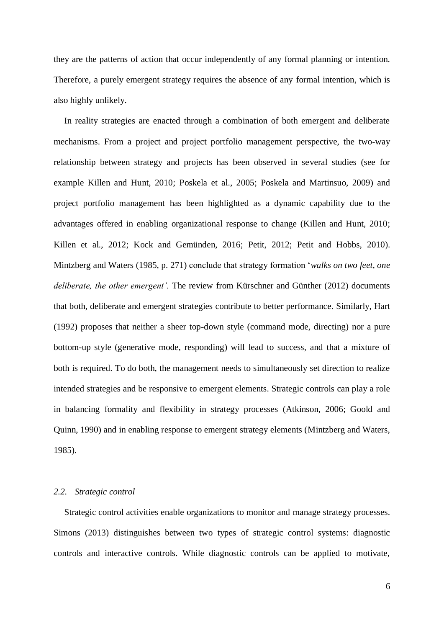they are the patterns of action that occur independently of any formal planning or intention. Therefore, a purely emergent strategy requires the absence of any formal intention, which is also highly unlikely.

In reality strategies are enacted through a combination of both emergent and deliberate mechanisms. From a project and project portfolio management perspective, the two-way relationship between strategy and projects has been observed in several studies (see for example [Killen and Hunt, 2010;](#page-31-4) [Poskela et al., 2005;](#page-33-7) [Poskela and Martinsuo, 2009\)](#page-33-8) and project portfolio management has been highlighted as a dynamic capability due to the advantages offered in enabling organizational response to change [\(Killen and Hunt, 2010;](#page-31-4) [Killen et al., 2012;](#page-31-5) [Kock and Gemünden, 2016;](#page-31-6) [Petit, 2012;](#page-32-12) [Petit and Hobbs, 2010\)](#page-33-9). Mintzberg and Waters [\(1985, p. 271\)](#page-32-1) conclude that strategy formation '*walks on two feet, one deliberate, the other emergent'.* The review from Kürschner and Günther (2012) documents that both, deliberate and emergent strategies contribute to better performance. Similarly, Hart [\(1992\)](#page-30-6) proposes that neither a sheer top-down style (command mode, directing) nor a pure bottom-up style (generative mode, responding) will lead to success, and that a mixture of both is required. To do both, the management needs to simultaneously set direction to realize intended strategies and be responsive to emergent elements. Strategic controls can play a role in balancing formality and flexibility in strategy processes [\(Atkinson, 2006;](#page-29-5) [Goold and](#page-30-7)  [Quinn, 1990\)](#page-30-7) and in enabling response to emergent strategy elements (Mintzberg and Waters, 1985).

## *2.2. Strategic control*

Strategic control activities enable organizations to monitor and manage strategy processes. Simons [\(2013\)](#page-33-5) distinguishes between two types of strategic control systems: diagnostic controls and interactive controls. While diagnostic controls can be applied to motivate,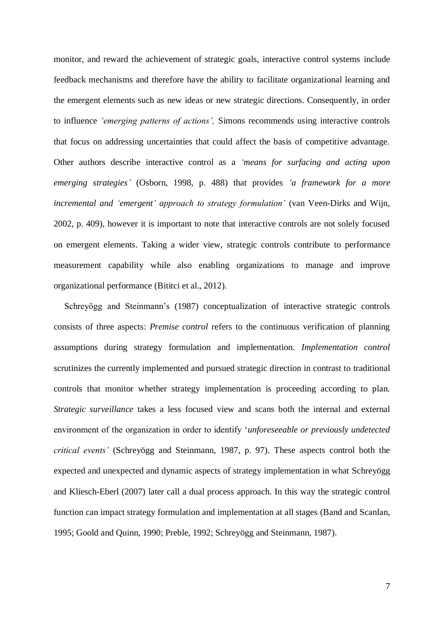monitor, and reward the achievement of strategic goals, interactive control systems include feedback mechanisms and therefore have the ability to facilitate organizational learning and the emergent elements such as new ideas or new strategic directions. Consequently, in order to influence *'emerging patterns of actions',* Simons recommends using interactive controls that focus on addressing uncertainties that could affect the basis of competitive advantage. Other authors describe interactive control as a *'means for surfacing and acting upon emerging strategies'* [\(Osborn, 1998, p. 488\)](#page-32-8) that provides *'a framework for a more incremental and 'emergent' approach to strategy formulation'* [\(van Veen-Dirks and Wijn,](#page-34-3)  [2002, p. 409\)](#page-34-3), however it is important to note that interactive controls are not solely focused on emergent elements. Taking a wider view, strategic controls contribute to performance measurement capability while also enabling organizations to manage and improve organizational performance [\(Bititci et al., 2012\)](#page-29-0).

Schreyögg and Steinmann's [\(1987\)](#page-33-10) conceptualization of interactive strategic controls consists of three aspects: *Premise control* refers to the continuous verification of planning assumptions during strategy formulation and implementation. *Implementation control* scrutinizes the currently implemented and pursued strategic direction in contrast to traditional controls that monitor whether strategy implementation is proceeding according to plan. *Strategic surveillance* takes a less focused view and scans both the internal and external environment of the organization in order to identify '*unforeseeable or previously undetected critical events'* [\(Schreyögg and Steinmann, 1987, p. 97\)](#page-33-10). These aspects control both the expected and unexpected and dynamic aspects of strategy implementation in what Schreyögg and Kliesch-Eberl (2007) later call a dual process approach. In this way the strategic control function can impact strategy formulation and implementation at all stages [\(Band and Scanlan,](#page-29-6)  [1995;](#page-29-6) [Goold and Quinn, 1990;](#page-30-7) [Preble, 1992;](#page-33-11) [Schreyögg and Steinmann, 1987\)](#page-33-10).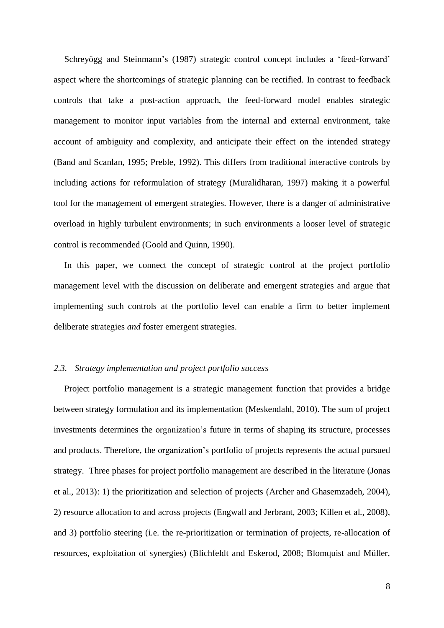Schreyögg and Steinmann's (1987) strategic control concept includes a 'feed-forward' aspect where the shortcomings of strategic planning can be rectified. In contrast to feedback controls that take a post-action approach, the feed-forward model enables strategic management to monitor input variables from the internal and external environment, take account of ambiguity and complexity, and anticipate their effect on the intended strategy [\(Band and Scanlan, 1995;](#page-29-6) [Preble, 1992\)](#page-33-11). This differs from traditional interactive controls by including actions for reformulation of strategy [\(Muralidharan, 1997\)](#page-32-13) making it a powerful tool for the management of emergent strategies. However, there is a danger of administrative overload in highly turbulent environments; in such environments a looser level of strategic control is recommended [\(Goold and Quinn, 1990\)](#page-30-7).

In this paper, we connect the concept of strategic control at the project portfolio management level with the discussion on deliberate and emergent strategies and argue that implementing such controls at the portfolio level can enable a firm to better implement deliberate strategies *and* foster emergent strategies.

#### *2.3. Strategy implementation and project portfolio success*

Project portfolio management is a strategic management function that provides a bridge between strategy formulation and its implementation [\(Meskendahl, 2010\)](#page-32-4). The sum of project investments determines the organization's future in terms of shaping its structure, processes and products. Therefore, the organization's portfolio of projects represents the actual pursued strategy. Three phases for project portfolio management are described in the literature [\(Jonas](#page-31-7)  [et al., 2013\)](#page-31-7): 1) the prioritization and selection of projects [\(Archer and Ghasemzadeh, 2004\)](#page-29-7), 2) resource allocation to and across projects [\(Engwall and Jerbrant, 2003;](#page-30-8) [Killen et al., 2008\)](#page-31-8), and 3) portfolio steering (i.e. the re-prioritization or termination of projects, re-allocation of resources, exploitation of synergies) [\(Blichfeldt and Eskerod, 2008;](#page-29-8) [Blomquist and Müller,](#page-29-9)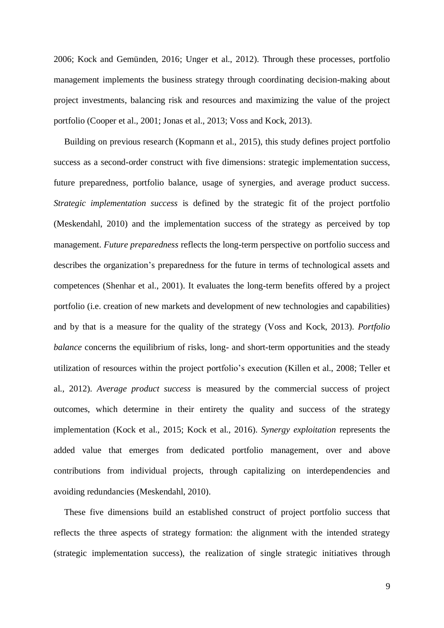[2006;](#page-29-9) [Kock and Gemünden, 2016;](#page-31-6) [Unger et al., 2012\)](#page-34-2). Through these processes, portfolio management implements the business strategy through coordinating decision-making about project investments, balancing risk and resources and maximizing the value of the project portfolio [\(Cooper et al., 2001;](#page-30-9) [Jonas et al., 2013;](#page-31-7) [Voss and Kock, 2013\)](#page-34-4).

Building on previous research [\(Kopmann et al., 2015\)](#page-31-9), this study defines project portfolio success as a second-order construct with five dimensions: strategic implementation success, future preparedness, portfolio balance, usage of synergies, and average product success. *Strategic implementation success* is defined by the strategic fit of the project portfolio [\(Meskendahl, 2010\)](#page-32-4) and the implementation success of the strategy as perceived by top management. *Future preparedness* reflects the long-term perspective on portfolio success and describes the organization's preparedness for the future in terms of technological assets and competences [\(Shenhar et al., 2001\)](#page-33-4). It evaluates the long-term benefits offered by a project portfolio (i.e. creation of new markets and development of new technologies and capabilities) and by that is a measure for the quality of the strategy [\(Voss and Kock, 2013\)](#page-34-4). *Portfolio balance* concerns the equilibrium of risks, long- and short-term opportunities and the steady utilization of resources within the project portfolio's execution [\(Killen et al., 2008;](#page-31-8) [Teller et](#page-33-12)  [al., 2012\)](#page-33-12). *Average product success* is measured by the commercial success of project outcomes, which determine in their entirety the quality and success of the strategy implementation [\(Kock et al., 2015;](#page-31-10) [Kock et al., 2016\)](#page-31-11). *Synergy exploitation* represents the added value that emerges from dedicated portfolio management, over and above contributions from individual projects, through capitalizing on interdependencies and avoiding redundancies [\(Meskendahl, 2010\)](#page-32-4).

These five dimensions build an established construct of project portfolio success that reflects the three aspects of strategy formation: the alignment with the intended strategy (strategic implementation success), the realization of single strategic initiatives through

9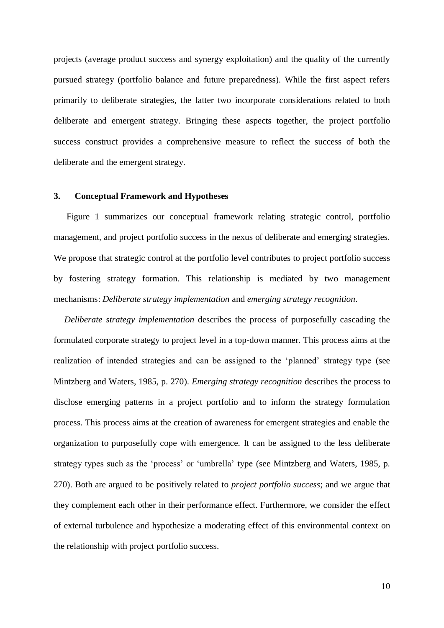projects (average product success and synergy exploitation) and the quality of the currently pursued strategy (portfolio balance and future preparedness). While the first aspect refers primarily to deliberate strategies, the latter two incorporate considerations related to both deliberate and emergent strategy. Bringing these aspects together, the project portfolio success construct provides a comprehensive measure to reflect the success of both the deliberate and the emergent strategy.

## **3. Conceptual Framework and Hypotheses**

Figure 1 summarizes our conceptual framework relating strategic control, portfolio management, and project portfolio success in the nexus of deliberate and emerging strategies. We propose that strategic control at the portfolio level contributes to project portfolio success by fostering strategy formation. This relationship is mediated by two management mechanisms: *Deliberate strategy implementation* and *emerging strategy recognition*.

*Deliberate strategy implementation* describes the process of purposefully cascading the formulated corporate strategy to project level in a top-down manner*.* This process aims at the realization of intended strategies and can be assigned to the 'planned' strategy type [\(see](#page-32-1)  [Mintzberg and Waters, 1985, p. 270\)](#page-32-1). *Emerging strategy recognition* describes the process to disclose emerging patterns in a project portfolio and to inform the strategy formulation process. This process aims at the creation of awareness for emergent strategies and enable the organization to purposefully cope with emergence. It can be assigned to the less deliberate strategy types such as the 'process' or 'umbrella' type [\(see Mintzberg and Waters, 1985, p.](#page-32-1)  [270\)](#page-32-1). Both are argued to be positively related to *project portfolio success*; and we argue that they complement each other in their performance effect. Furthermore, we consider the effect of external turbulence and hypothesize a moderating effect of this environmental context on the relationship with project portfolio success.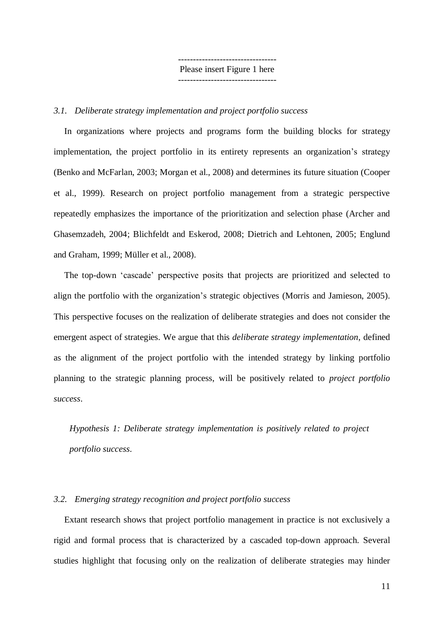--------------------------------- Please insert Figure 1 here ---------------------------------

## *3.1. Deliberate strategy implementation and project portfolio success*

In organizations where projects and programs form the building blocks for strategy implementation, the project portfolio in its entirety represents an organization's strategy [\(Benko and McFarlan, 2003;](#page-29-10) [Morgan et al., 2008\)](#page-32-5) and determines its future situation [\(Cooper](#page-30-10)  [et al., 1999\)](#page-30-10). Research on project portfolio management from a strategic perspective repeatedly emphasizes the importance of the prioritization and selection phase [\(Archer and](#page-29-7)  [Ghasemzadeh, 2004;](#page-29-7) [Blichfeldt and Eskerod, 2008;](#page-29-8) [Dietrich and Lehtonen, 2005;](#page-30-11) [Englund](#page-30-12)  [and Graham, 1999;](#page-30-12) [Müller et al., 2008\)](#page-32-14).

The top-down 'cascade' perspective posits that projects are prioritized and selected to align the portfolio with the organization's strategic objectives [\(Morris and Jamieson, 2005\)](#page-32-10). This perspective focuses on the realization of deliberate strategies and does not consider the emergent aspect of strategies. We argue that this *deliberate strategy implementation*, defined as the alignment of the project portfolio with the intended strategy by linking portfolio planning to the strategic planning process, will be positively related to *project portfolio success*.

*Hypothesis 1: Deliberate strategy implementation is positively related to project portfolio success.*

## *3.2. Emerging strategy recognition and project portfolio success*

Extant research shows that project portfolio management in practice is not exclusively a rigid and formal process that is characterized by a cascaded top-down approach. Several studies highlight that focusing only on the realization of deliberate strategies may hinder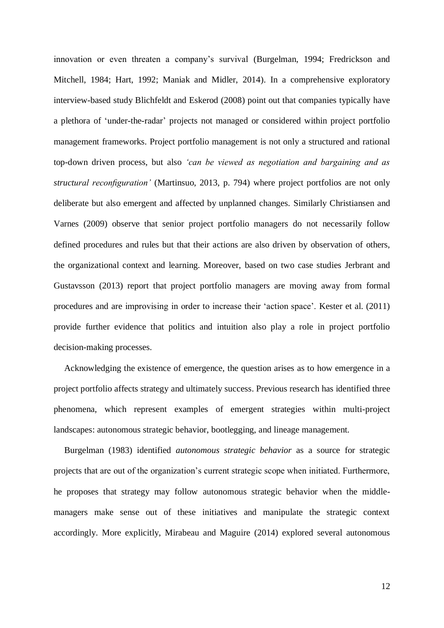innovation or even threaten a company's survival [\(Burgelman, 1994;](#page-29-2) [Fredrickson and](#page-30-13)  [Mitchell, 1984;](#page-30-13) [Hart, 1992;](#page-30-6) [Maniak and Midler, 2014\)](#page-32-15). In a comprehensive exploratory interview-based study Blichfeldt and Eskerod [\(2008\)](#page-29-8) point out that companies typically have a plethora of 'under-the-radar' projects not managed or considered within project portfolio management frameworks. Project portfolio management is not only a structured and rational top-down driven process, but also *'can be viewed as negotiation and bargaining and as structural reconfiguration'* [\(Martinsuo, 2013, p. 794\)](#page-32-16) where project portfolios are not only deliberate but also emergent and affected by unplanned changes. Similarly Christiansen and Varnes (2009) observe that senior project portfolio managers do not necessarily follow defined procedures and rules but that their actions are also driven by observation of others, the organizational context and learning. Moreover, based on two case studies Jerbrant and Gustavsson [\(2013\)](#page-31-12) report that project portfolio managers are moving away from formal procedures and are improvising in order to increase their 'action space'. Kester et al. (2011) provide further evidence that politics and intuition also play a role in project portfolio decision-making processes.

Acknowledging the existence of emergence, the question arises as to how emergence in a project portfolio affects strategy and ultimately success. Previous research has identified three phenomena, which represent examples of emergent strategies within multi-project landscapes: autonomous strategic behavior, bootlegging, and lineage management.

Burgelman [\(1983\)](#page-29-3) identified *autonomous strategic behavior* as a source for strategic projects that are out of the organization's current strategic scope when initiated. Furthermore, he proposes that strategy may follow autonomous strategic behavior when the middlemanagers make sense out of these initiatives and manipulate the strategic context accordingly. More explicitly, Mirabeau and Maguire [\(2014\)](#page-32-7) explored several autonomous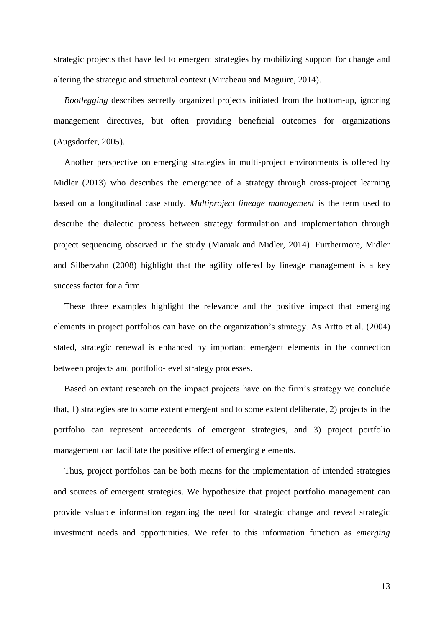strategic projects that have led to emergent strategies by mobilizing support for change and altering the strategic and structural context [\(Mirabeau and Maguire, 2014\)](#page-32-7).

*Bootlegging* describes secretly organized projects initiated from the bottom-up, ignoring management directives, but often providing beneficial outcomes for organizations [\(Augsdorfer, 2005\)](#page-29-11).

Another perspective on emerging strategies in multi-project environments is offered by Midler [\(2013\)](#page-32-17) who describes the emergence of a strategy through cross-project learning based on a longitudinal case study. *Multiproject lineage management* is the term used to describe the dialectic process between strategy formulation and implementation through project sequencing observed in the study [\(Maniak and Midler, 2014\)](#page-32-15). Furthermore, Midler and Silberzahn [\(2008\)](#page-32-18) highlight that the agility offered by lineage management is a key success factor for a firm.

These three examples highlight the relevance and the positive impact that emerging elements in project portfolios can have on the organization's strategy. As Artto et al. [\(2004\)](#page-29-12) stated, strategic renewal is enhanced by important emergent elements in the connection between projects and portfolio-level strategy processes.

Based on extant research on the impact projects have on the firm's strategy we conclude that, 1) strategies are to some extent emergent and to some extent deliberate, 2) projects in the portfolio can represent antecedents of emergent strategies, and 3) project portfolio management can facilitate the positive effect of emerging elements.

Thus, project portfolios can be both means for the implementation of intended strategies and sources of emergent strategies. We hypothesize that project portfolio management can provide valuable information regarding the need for strategic change and reveal strategic investment needs and opportunities. We refer to this information function as *emerging* 

13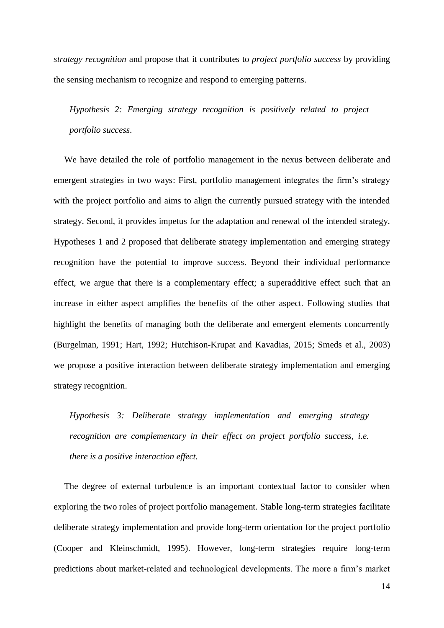*strategy recognition* and propose that it contributes to *project portfolio success* by providing the sensing mechanism to recognize and respond to emerging patterns.

*Hypothesis 2: Emerging strategy recognition is positively related to project portfolio success.*

We have detailed the role of portfolio management in the nexus between deliberate and emergent strategies in two ways: First, portfolio management integrates the firm's strategy with the project portfolio and aims to align the currently pursued strategy with the intended strategy. Second, it provides impetus for the adaptation and renewal of the intended strategy. Hypotheses 1 and 2 proposed that deliberate strategy implementation and emerging strategy recognition have the potential to improve success. Beyond their individual performance effect, we argue that there is a complementary effect; a superadditive effect such that an increase in either aspect amplifies the benefits of the other aspect. Following studies that highlight the benefits of managing both the deliberate and emergent elements concurrently [\(Burgelman, 1991;](#page-29-4) [Hart, 1992;](#page-30-6) [Hutchison-Krupat and Kavadias, 2015;](#page-30-14) [Smeds et al., 2003\)](#page-33-13) we propose a positive interaction between deliberate strategy implementation and emerging strategy recognition.

*Hypothesis 3: Deliberate strategy implementation and emerging strategy recognition are complementary in their effect on project portfolio success, i.e. there is a positive interaction effect.*

The degree of external turbulence is an important contextual factor to consider when exploring the two roles of project portfolio management. Stable long-term strategies facilitate deliberate strategy implementation and provide long-term orientation for the project portfolio [\(Cooper and Kleinschmidt, 1995\)](#page-30-15). However, long-term strategies require long-term predictions about market-related and technological developments. The more a firm's market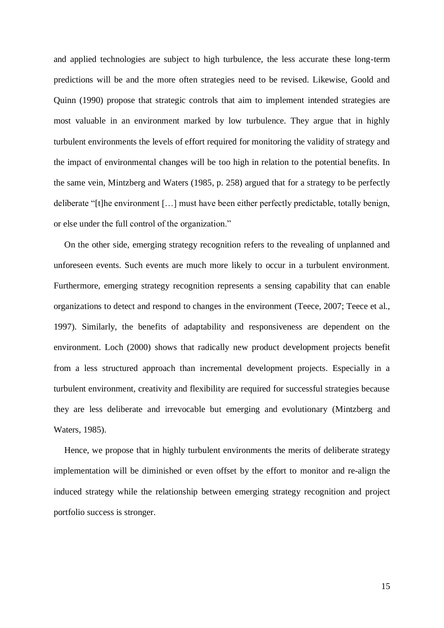and applied technologies are subject to high turbulence, the less accurate these long-term predictions will be and the more often strategies need to be revised. Likewise, Goold and Quinn [\(1990\)](#page-30-7) propose that strategic controls that aim to implement intended strategies are most valuable in an environment marked by low turbulence. They argue that in highly turbulent environments the levels of effort required for monitoring the validity of strategy and the impact of environmental changes will be too high in relation to the potential benefits. In the same vein, Mintzberg and Waters (1985, p. 258) argued that for a strategy to be perfectly deliberate "[t]he environment […] must have been either perfectly predictable, totally benign, or else under the full control of the organization."

On the other side, emerging strategy recognition refers to the revealing of unplanned and unforeseen events. Such events are much more likely to occur in a turbulent environment. Furthermore, emerging strategy recognition represents a sensing capability that can enable organizations to detect and respond to changes in the environment [\(Teece, 2007;](#page-33-14) [Teece et al.,](#page-33-6)  [1997\)](#page-33-6). Similarly, the benefits of adaptability and responsiveness are dependent on the environment. Loch [\(2000\)](#page-32-19) shows that radically new product development projects benefit from a less structured approach than incremental development projects. Especially in a turbulent environment, creativity and flexibility are required for successful strategies because they are less deliberate and irrevocable but emerging and evolutionary [\(Mintzberg and](#page-32-1)  [Waters, 1985\)](#page-32-1).

Hence, we propose that in highly turbulent environments the merits of deliberate strategy implementation will be diminished or even offset by the effort to monitor and re-align the induced strategy while the relationship between emerging strategy recognition and project portfolio success is stronger.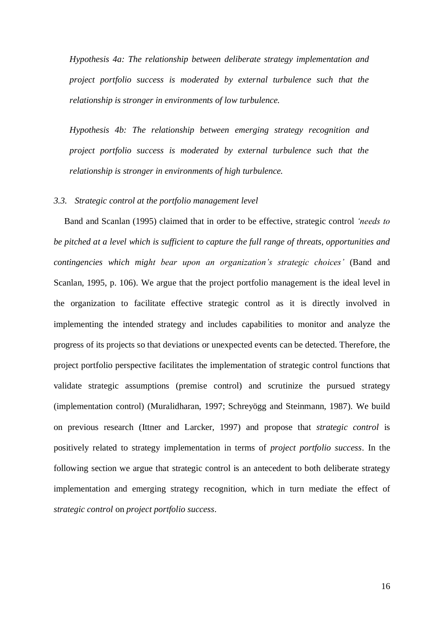*Hypothesis 4a: The relationship between deliberate strategy implementation and project portfolio success is moderated by external turbulence such that the relationship is stronger in environments of low turbulence.*

*Hypothesis 4b: The relationship between emerging strategy recognition and project portfolio success is moderated by external turbulence such that the relationship is stronger in environments of high turbulence.*

### *3.3. Strategic control at the portfolio management level*

Band and Scanlan [\(1995\)](#page-29-6) claimed that in order to be effective, strategic control *'needs to be pitched at a level which is sufficient to capture the full range of threats, opportunities and contingencies which might bear upon an organization's strategic choices'* [\(Band and](#page-29-6)  [Scanlan, 1995, p. 106\)](#page-29-6). We argue that the project portfolio management is the ideal level in the organization to facilitate effective strategic control as it is directly involved in implementing the intended strategy and includes capabilities to monitor and analyze the progress of its projects so that deviations or unexpected events can be detected. Therefore, the project portfolio perspective facilitates the implementation of strategic control functions that validate strategic assumptions (premise control) and scrutinize the pursued strategy (implementation control) [\(Muralidharan, 1997;](#page-32-13) [Schreyögg and Steinmann, 1987\)](#page-33-10). We build on previous research [\(Ittner and Larcker, 1997\)](#page-31-13) and propose that *strategic control* is positively related to strategy implementation in terms of *project portfolio success*. In the following section we argue that strategic control is an antecedent to both deliberate strategy implementation and emerging strategy recognition, which in turn mediate the effect of *strategic control* on *project portfolio success*.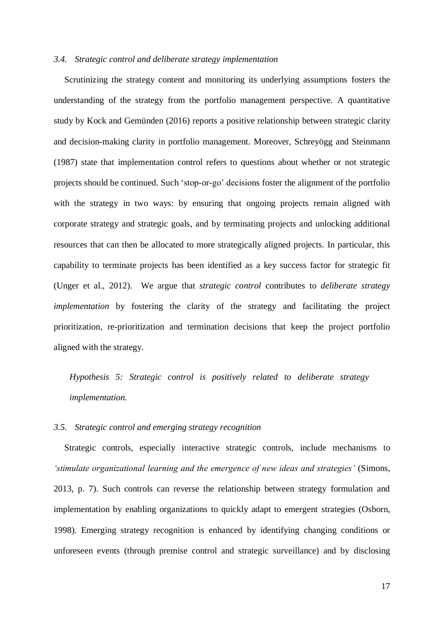## *3.4. Strategic control and deliberate strategy implementation*

Scrutinizing the strategy content and monitoring its underlying assumptions fosters the understanding of the strategy from the portfolio management perspective. A quantitative study by Kock and Gemünden (2016) reports a positive relationship between strategic clarity and decision-making clarity in portfolio management. Moreover, Schreyögg and Steinmann (1987) state that implementation control refers to questions about whether or not strategic projects should be continued. Such 'stop-or-go' decisions foster the alignment of the portfolio with the strategy in two ways: by ensuring that ongoing projects remain aligned with corporate strategy and strategic goals, and by terminating projects and unlocking additional resources that can then be allocated to more strategically aligned projects. In particular, this capability to terminate projects has been identified as a key success factor for strategic fit [\(Unger et al., 2012\)](#page-34-2). We argue that *strategic control* contributes to *deliberate strategy implementation* by fostering the clarity of the strategy and facilitating the project prioritization, re-prioritization and termination decisions that keep the project portfolio aligned with the strategy.

*Hypothesis 5: Strategic control is positively related to deliberate strategy implementation.* 

#### *3.5. Strategic control and emerging strategy recognition*

Strategic controls, especially interactive strategic controls, include mechanisms to *'stimulate organizational learning and the emergence of new ideas and strategies'* [\(Simons,](#page-33-5)  [2013, p. 7\)](#page-33-5). Such controls can reverse the relationship between strategy formulation and implementation by enabling organizations to quickly adapt to emergent strategies [\(Osborn,](#page-32-8)  [1998\)](#page-32-8). Emerging strategy recognition is enhanced by identifying changing conditions or unforeseen events (through premise control and strategic surveillance) and by disclosing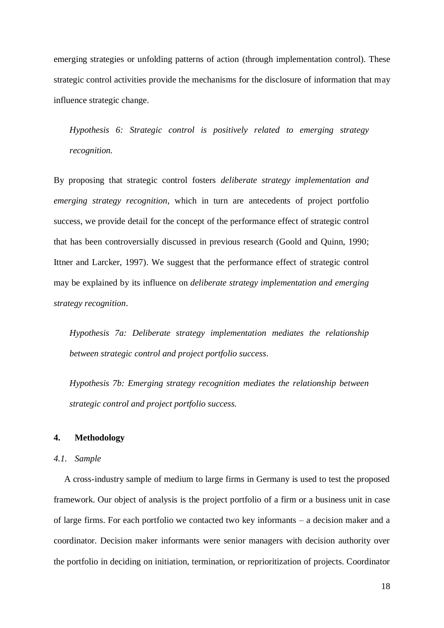emerging strategies or unfolding patterns of action (through implementation control). These strategic control activities provide the mechanisms for the disclosure of information that may influence strategic change.

*Hypothesis 6: Strategic control is positively related to emerging strategy recognition.*

By proposing that strategic control fosters *deliberate strategy implementation and emerging strategy recognition*, which in turn are antecedents of project portfolio success, we provide detail for the concept of the performance effect of strategic control that has been controversially discussed in previous research [\(Goold and Quinn, 1990;](#page-30-7) [Ittner and Larcker, 1997\)](#page-31-13). We suggest that the performance effect of strategic control may be explained by its influence on *deliberate strategy implementation and emerging strategy recognition*.

*Hypothesis 7a: Deliberate strategy implementation mediates the relationship between strategic control and project portfolio success.* 

*Hypothesis 7b: Emerging strategy recognition mediates the relationship between strategic control and project portfolio success.*

## **4. Methodology**

## *4.1. Sample*

A cross-industry sample of medium to large firms in Germany is used to test the proposed framework. Our object of analysis is the project portfolio of a firm or a business unit in case of large firms. For each portfolio we contacted two key informants – a decision maker and a coordinator. Decision maker informants were senior managers with decision authority over the portfolio in deciding on initiation, termination, or reprioritization of projects. Coordinator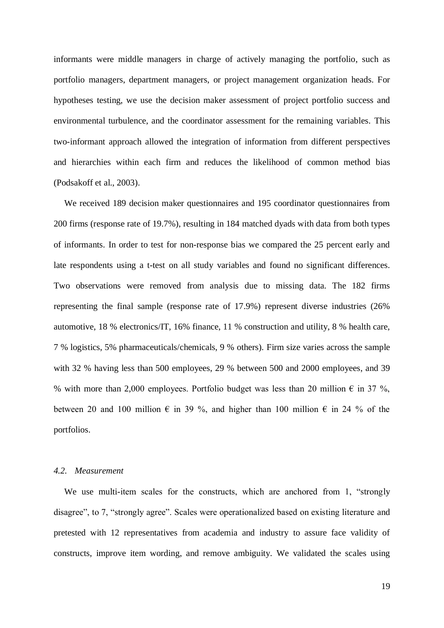informants were middle managers in charge of actively managing the portfolio, such as portfolio managers, department managers, or project management organization heads. For hypotheses testing, we use the decision maker assessment of project portfolio success and environmental turbulence, and the coordinator assessment for the remaining variables. This two-informant approach allowed the integration of information from different perspectives and hierarchies within each firm and reduces the likelihood of common method bias [\(Podsakoff et al., 2003\)](#page-33-15).

We received 189 decision maker questionnaires and 195 coordinator questionnaires from 200 firms (response rate of 19.7%), resulting in 184 matched dyads with data from both types of informants. In order to test for non-response bias we compared the 25 percent early and late respondents using a t-test on all study variables and found no significant differences. Two observations were removed from analysis due to missing data. The 182 firms representing the final sample (response rate of 17.9%) represent diverse industries (26% automotive, 18 % electronics/IT, 16% finance, 11 % construction and utility, 8 % health care, 7 % logistics, 5% pharmaceuticals/chemicals, 9 % others). Firm size varies across the sample with 32 % having less than 500 employees, 29 % between 500 and 2000 employees, and 39 % with more than 2,000 employees. Portfolio budget was less than 20 million  $\epsilon$  in 37 %, between 20 and 100 million  $\epsilon$  in 39 %, and higher than 100 million  $\epsilon$  in 24 % of the portfolios.

## *4.2. Measurement*

We use multi-item scales for the constructs, which are anchored from 1, "strongly" disagree", to 7, "strongly agree". Scales were operationalized based on existing literature and pretested with 12 representatives from academia and industry to assure face validity of constructs, improve item wording, and remove ambiguity. We validated the scales using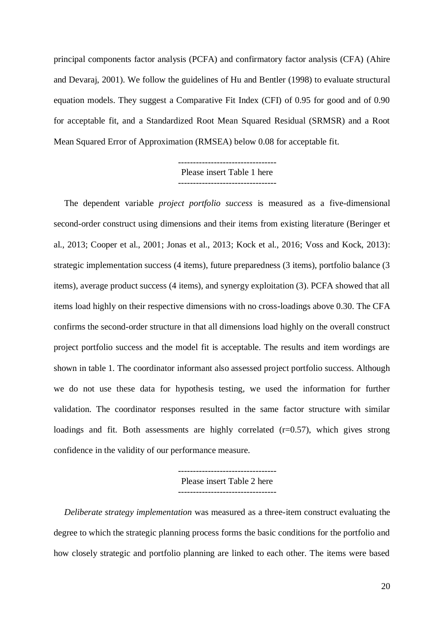principal components factor analysis (PCFA) and confirmatory factor analysis (CFA) [\(Ahire](#page-29-13)  [and Devaraj, 2001\)](#page-29-13). We follow the guidelines of Hu and Bentler [\(1998\)](#page-30-16) to evaluate structural equation models. They suggest a Comparative Fit Index (CFI) of 0.95 for good and of 0.90 for acceptable fit, and a Standardized Root Mean Squared Residual (SRMSR) and a Root Mean Squared Error of Approximation (RMSEA) below 0.08 for acceptable fit.

> --------------------------------- Please insert Table 1 here ---------------------------------

The dependent variable *project portfolio success* is measured as a five-dimensional second-order construct using dimensions and their items from existing literature [\(Beringer et](#page-29-14)  [al., 2013;](#page-29-14) [Cooper et al., 2001;](#page-30-9) [Jonas et al., 2013;](#page-31-7) [Kock et al., 2016;](#page-31-11) [Voss and Kock, 2013\)](#page-34-4): strategic implementation success (4 items), future preparedness (3 items), portfolio balance (3 items), average product success (4 items), and synergy exploitation (3). PCFA showed that all items load highly on their respective dimensions with no cross-loadings above 0.30. The CFA confirms the second-order structure in that all dimensions load highly on the overall construct project portfolio success and the model fit is acceptable. The results and item wordings are shown in table 1. The coordinator informant also assessed project portfolio success. Although we do not use these data for hypothesis testing, we used the information for further validation. The coordinator responses resulted in the same factor structure with similar loadings and fit. Both assessments are highly correlated  $(r=0.57)$ , which gives strong confidence in the validity of our performance measure.

> Please insert Table 2 here ---------------------------------

*Deliberate strategy implementation* was measured as a three-item construct evaluating the degree to which the strategic planning process forms the basic conditions for the portfolio and how closely strategic and portfolio planning are linked to each other. The items were based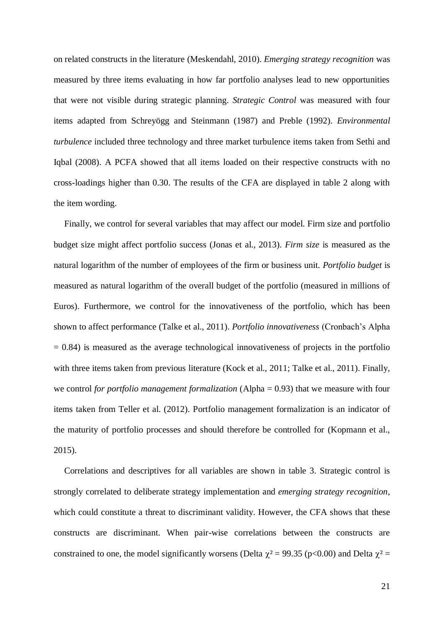on related constructs in the literature [\(Meskendahl, 2010\)](#page-32-4). *Emerging strategy recognition* was measured by three items evaluating in how far portfolio analyses lead to new opportunities that were not visible during strategic planning. *Strategic Control* was measured with four items adapted from Schreyögg and Steinmann (1987) and Preble (1992). *Environmental turbulence* included three technology and three market turbulence items taken from Sethi and Iqbal (2008). A PCFA showed that all items loaded on their respective constructs with no cross-loadings higher than 0.30. The results of the CFA are displayed in table 2 along with the item wording.

Finally, we control for several variables that may affect our model. Firm size and portfolio budget size might affect portfolio success [\(Jonas et al., 2013\)](#page-31-7). *Firm size* is measured as the natural logarithm of the number of employees of the firm or business unit. *Portfolio budget* is measured as natural logarithm of the overall budget of the portfolio (measured in millions of Euros). Furthermore, we control for the innovativeness of the portfolio, which has been shown to affect performance [\(Talke et al., 2011\)](#page-33-16). *Portfolio innovativeness* (Cronbach's Alpha  $= 0.84$ ) is measured as the average technological innovativeness of projects in the portfolio with three items taken from previous literature [\(Kock et al., 2011;](#page-31-14) [Talke et al., 2011\)](#page-33-16). Finally, we control *for portfolio management formalization* (Alpha = 0.93) that we measure with four items taken from Teller et al. (2012). Portfolio management formalization is an indicator of the maturity of portfolio processes and should therefore be controlled for [\(Kopmann et al.,](#page-31-9)  [2015\)](#page-31-9).

Correlations and descriptives for all variables are shown in table 3. Strategic control is strongly correlated to deliberate strategy implementation and *emerging strategy recognition*, which could constitute a threat to discriminant validity. However, the CFA shows that these constructs are discriminant. When pair-wise correlations between the constructs are constrained to one, the model significantly worsens (Delta  $\chi^2$  = 99.35 (p<0.00) and Delta  $\chi^2$  =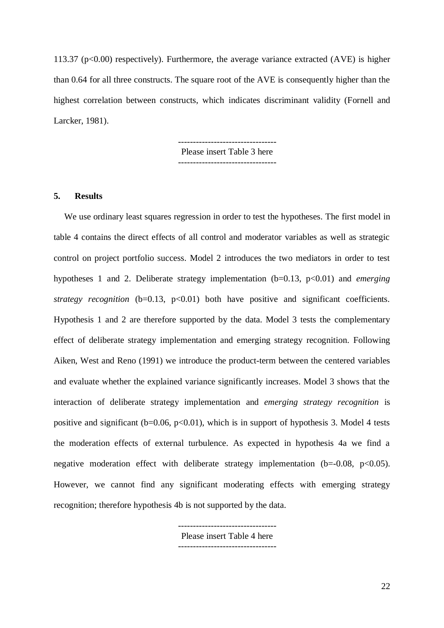113.37 ( $p<0.00$ ) respectively). Furthermore, the average variance extracted (AVE) is higher than 0.64 for all three constructs. The square root of the AVE is consequently higher than the highest correlation between constructs, which indicates discriminant validity [\(Fornell and](#page-30-17)  [Larcker, 1981\)](#page-30-17).

Please insert Table 3 here

## **5. Results**

We use ordinary least squares regression in order to test the hypotheses. The first model in table 4 contains the direct effects of all control and moderator variables as well as strategic control on project portfolio success. Model 2 introduces the two mediators in order to test hypotheses 1 and 2. Deliberate strategy implementation (b=0.13, p<0.01) and *emerging strategy recognition* (b=0.13, p<0.01) both have positive and significant coefficients. Hypothesis 1 and 2 are therefore supported by the data. Model 3 tests the complementary effect of deliberate strategy implementation and emerging strategy recognition. Following Aiken, West and Reno [\(1991\)](#page-29-15) we introduce the product-term between the centered variables and evaluate whether the explained variance significantly increases. Model 3 shows that the interaction of deliberate strategy implementation and *emerging strategy recognition* is positive and significant ( $b=0.06$ ,  $p<0.01$ ), which is in support of hypothesis 3. Model 4 tests the moderation effects of external turbulence. As expected in hypothesis 4a we find a negative moderation effect with deliberate strategy implementation  $(b=-0.08, p<0.05)$ . However, we cannot find any significant moderating effects with emerging strategy recognition; therefore hypothesis 4b is not supported by the data.

> --------------------------------- Please insert Table 4 here ---------------------------------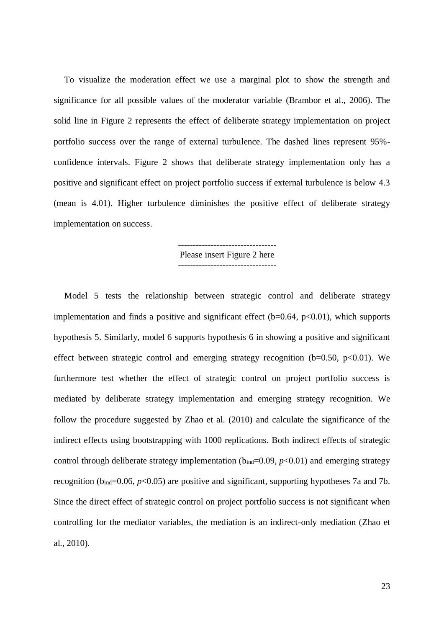To visualize the moderation effect we use a marginal plot to show the strength and significance for all possible values of the moderator variable [\(Brambor et al., 2006\)](#page-29-16). The solid line in Figure 2 represents the effect of deliberate strategy implementation on project portfolio success over the range of external turbulence. The dashed lines represent 95% confidence intervals. Figure 2 shows that deliberate strategy implementation only has a positive and significant effect on project portfolio success if external turbulence is below 4.3 (mean is 4.01). Higher turbulence diminishes the positive effect of deliberate strategy implementation on success.

> --------------------------------- Please insert Figure 2 here

Model 5 tests the relationship between strategic control and deliberate strategy implementation and finds a positive and significant effect  $(b=0.64, p<0.01)$ , which supports hypothesis 5. Similarly, model 6 supports hypothesis 6 in showing a positive and significant effect between strategic control and emerging strategy recognition ( $b=0.50$ ,  $p<0.01$ ). We furthermore test whether the effect of strategic control on project portfolio success is mediated by deliberate strategy implementation and emerging strategy recognition. We follow the procedure suggested by Zhao et al. (2010) and calculate the significance of the indirect effects using bootstrapping with 1000 replications. Both indirect effects of strategic control through deliberate strategy implementation ( $b_{ind}=0.09$ ,  $p<0.01$ ) and emerging strategy recognition ( $b_{ind}=0.06$ ,  $p<0.05$ ) are positive and significant, supporting hypotheses 7a and 7b. Since the direct effect of strategic control on project portfolio success is not significant when controlling for the mediator variables, the mediation is an indirect-only mediation [\(Zhao et](#page-34-5)  [al., 2010\)](#page-34-5).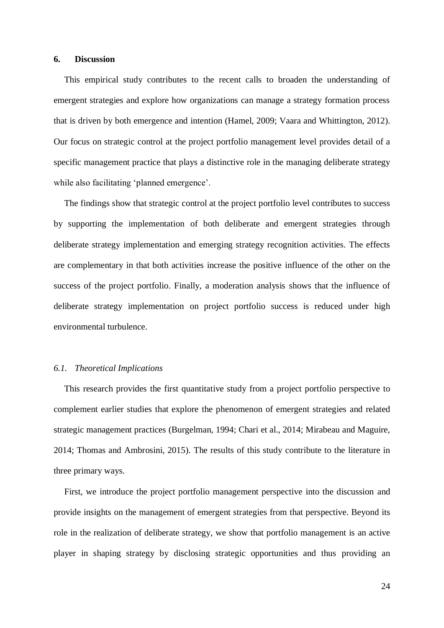#### **6. Discussion**

This empirical study contributes to the recent calls to broaden the understanding of emergent strategies and explore how organizations can manage a strategy formation process that is driven by both emergence and intention [\(Hamel, 2009;](#page-30-1) [Vaara and Whittington, 2012\)](#page-34-0). Our focus on strategic control at the project portfolio management level provides detail of a specific management practice that plays a distinctive role in the managing deliberate strategy while also facilitating 'planned emergence'.

The findings show that strategic control at the project portfolio level contributes to success by supporting the implementation of both deliberate and emergent strategies through deliberate strategy implementation and emerging strategy recognition activities. The effects are complementary in that both activities increase the positive influence of the other on the success of the project portfolio. Finally, a moderation analysis shows that the influence of deliberate strategy implementation on project portfolio success is reduced under high environmental turbulence.

#### *6.1. Theoretical Implications*

This research provides the first quantitative study from a project portfolio perspective to complement earlier studies that explore the phenomenon of emergent strategies and related strategic management practices [\(Burgelman, 1994;](#page-29-2) [Chari et al., 2014;](#page-30-0) [Mirabeau and Maguire,](#page-32-7)  [2014;](#page-32-7) [Thomas and Ambrosini, 2015\)](#page-33-1). The results of this study contribute to the literature in three primary ways.

First, we introduce the project portfolio management perspective into the discussion and provide insights on the management of emergent strategies from that perspective. Beyond its role in the realization of deliberate strategy, we show that portfolio management is an active player in shaping strategy by disclosing strategic opportunities and thus providing an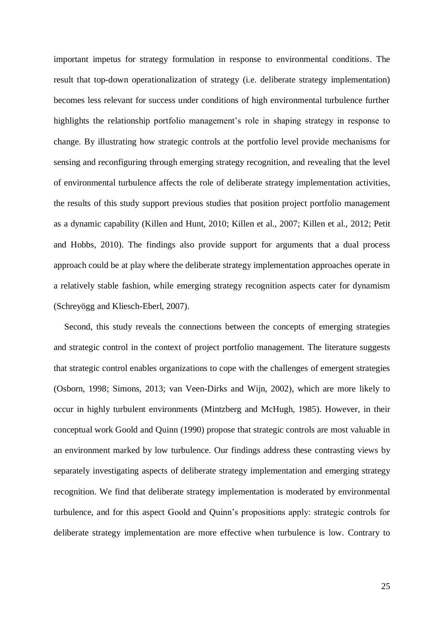important impetus for strategy formulation in response to environmental conditions. The result that top-down operationalization of strategy (i.e. deliberate strategy implementation) becomes less relevant for success under conditions of high environmental turbulence further highlights the relationship portfolio management's role in shaping strategy in response to change. By illustrating how strategic controls at the portfolio level provide mechanisms for sensing and reconfiguring through emerging strategy recognition, and revealing that the level of environmental turbulence affects the role of deliberate strategy implementation activities, the results of this study support previous studies that position project portfolio management as a dynamic capability [\(Killen and Hunt, 2010;](#page-31-4) [Killen et al., 2007;](#page-31-15) [Killen et al., 2012;](#page-31-5) [Petit](#page-33-9)  [and Hobbs, 2010\)](#page-33-9). The findings also provide support for arguments that a dual process approach could be at play where the deliberate strategy implementation approaches operate in a relatively stable fashion, while emerging strategy recognition aspects cater for dynamism [\(Schreyögg and Kliesch-Eberl, 2007\)](#page-33-17).

Second, this study reveals the connections between the concepts of emerging strategies and strategic control in the context of project portfolio management. The literature suggests that strategic control enables organizations to cope with the challenges of emergent strategies [\(Osborn, 1998;](#page-32-8) [Simons, 2013;](#page-33-5) [van Veen-Dirks and Wijn, 2002\)](#page-34-3), which are more likely to occur in highly turbulent environments [\(Mintzberg and McHugh, 1985\)](#page-32-20). However, in their conceptual work Goold and Quinn [\(1990\)](#page-30-7) propose that strategic controls are most valuable in an environment marked by low turbulence. Our findings address these contrasting views by separately investigating aspects of deliberate strategy implementation and emerging strategy recognition. We find that deliberate strategy implementation is moderated by environmental turbulence, and for this aspect Goold and Quinn's propositions apply: strategic controls for deliberate strategy implementation are more effective when turbulence is low. Contrary to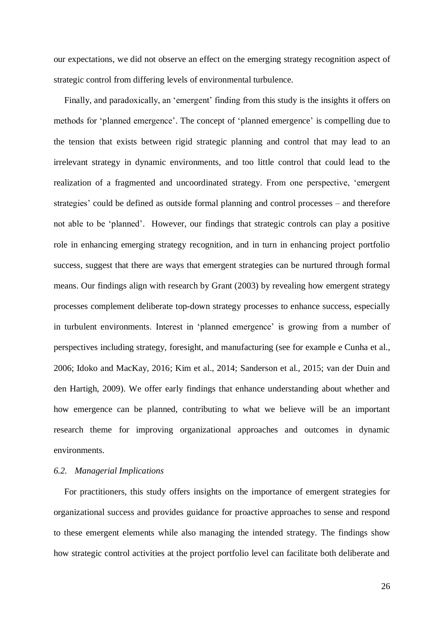our expectations, we did not observe an effect on the emerging strategy recognition aspect of strategic control from differing levels of environmental turbulence.

Finally, and paradoxically, an 'emergent' finding from this study is the insights it offers on methods for 'planned emergence'. The concept of 'planned emergence' is compelling due to the tension that exists between rigid strategic planning and control that may lead to an irrelevant strategy in dynamic environments, and too little control that could lead to the realization of a fragmented and uncoordinated strategy. From one perspective, 'emergent strategies' could be defined as outside formal planning and control processes – and therefore not able to be 'planned'. However, our findings that strategic controls can play a positive role in enhancing emerging strategy recognition, and in turn in enhancing project portfolio success, suggest that there are ways that emergent strategies can be nurtured through formal means. Our findings align with research by Grant (2003) by revealing how emergent strategy processes complement deliberate top-down strategy processes to enhance success, especially in turbulent environments. Interest in 'planned emergence' is growing from a number of perspectives including strategy, foresight, and manufacturing (see for example [e Cunha et al.,](#page-30-4)  [2006;](#page-30-4) [Idoko and MacKay, 2016;](#page-31-16) [Kim et al., 2014;](#page-31-2) [Sanderson et al., 2015;](#page-33-18) [van der Duin and](#page-34-6)  [den Hartigh, 2009\)](#page-34-6). We offer early findings that enhance understanding about whether and how emergence can be planned, contributing to what we believe will be an important research theme for improving organizational approaches and outcomes in dynamic environments.

## *6.2. Managerial Implications*

For practitioners, this study offers insights on the importance of emergent strategies for organizational success and provides guidance for proactive approaches to sense and respond to these emergent elements while also managing the intended strategy. The findings show how strategic control activities at the project portfolio level can facilitate both deliberate and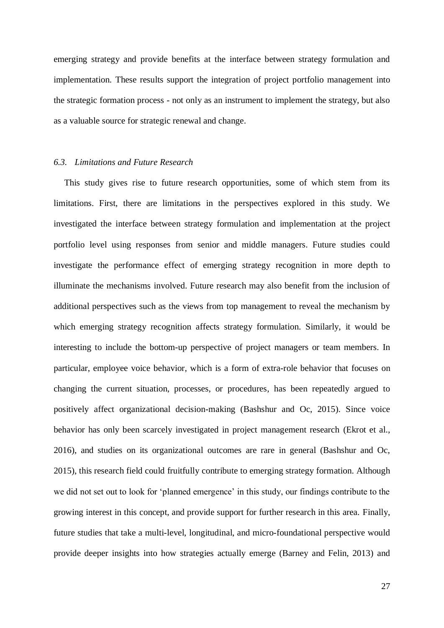emerging strategy and provide benefits at the interface between strategy formulation and implementation. These results support the integration of project portfolio management into the strategic formation process - not only as an instrument to implement the strategy, but also as a valuable source for strategic renewal and change.

#### *6.3. Limitations and Future Research*

This study gives rise to future research opportunities, some of which stem from its limitations. First, there are limitations in the perspectives explored in this study. We investigated the interface between strategy formulation and implementation at the project portfolio level using responses from senior and middle managers. Future studies could investigate the performance effect of emerging strategy recognition in more depth to illuminate the mechanisms involved. Future research may also benefit from the inclusion of additional perspectives such as the views from top management to reveal the mechanism by which emerging strategy recognition affects strategy formulation. Similarly, it would be interesting to include the bottom-up perspective of project managers or team members. In particular, employee voice behavior, which is a form of extra-role behavior that focuses on changing the current situation, processes, or procedures, has been repeatedly argued to positively affect organizational decision-making [\(Bashshur and Oc, 2015\)](#page-29-17). Since voice behavior has only been scarcely investigated in project management research [\(Ekrot et al.,](#page-30-18)  [2016\)](#page-30-18), and studies on its organizational outcomes are rare in general [\(Bashshur and Oc,](#page-29-17)  [2015\)](#page-29-17), this research field could fruitfully contribute to emerging strategy formation. Although we did not set out to look for 'planned emergence' in this study, our findings contribute to the growing interest in this concept, and provide support for further research in this area. Finally, future studies that take a multi-level, longitudinal, and micro-foundational perspective would provide deeper insights into how strategies actually emerge [\(Barney and Felin, 2013\)](#page-29-18) and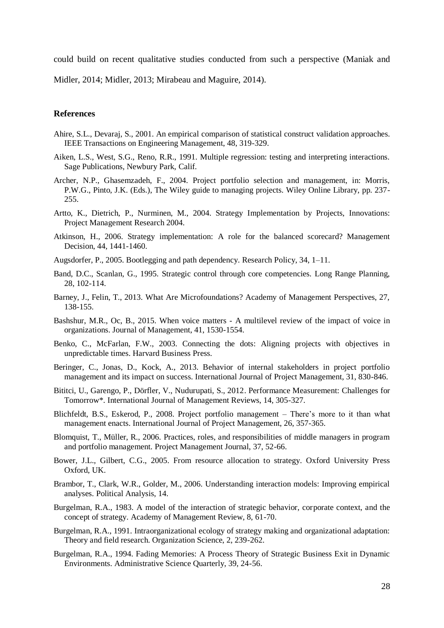could build on recent qualitative studies conducted from such a perspective [\(Maniak and](#page-32-15) 

[Midler, 2014;](#page-32-15) [Midler, 2013;](#page-32-17) [Mirabeau and Maguire, 2014\)](#page-32-7).

## **References**

- <span id="page-29-13"></span>Ahire, S.L., Devaraj, S., 2001. An empirical comparison of statistical construct validation approaches. IEEE Transactions on Engineering Management, 48, 319-329.
- <span id="page-29-15"></span>Aiken, L.S., West, S.G., Reno, R.R., 1991. Multiple regression: testing and interpreting interactions. Sage Publications, Newbury Park, Calif.
- <span id="page-29-7"></span>Archer, N.P., Ghasemzadeh, F., 2004. Project portfolio selection and management, in: Morris, P.W.G., Pinto, J.K. (Eds.), The Wiley guide to managing projects. Wiley Online Library, pp. 237- 255.
- <span id="page-29-12"></span>Artto, K., Dietrich, P., Nurminen, M., 2004. Strategy Implementation by Projects, Innovations: Project Management Research 2004.
- <span id="page-29-5"></span>Atkinson, H., 2006. Strategy implementation: A role for the balanced scorecard? Management Decision, 44, 1441-1460.
- <span id="page-29-11"></span>Augsdorfer, P., 2005. Bootlegging and path dependency. Research Policy, 34, 1–11.
- <span id="page-29-6"></span>Band, D.C., Scanlan, G., 1995. Strategic control through core competencies. Long Range Planning, 28, 102-114.
- <span id="page-29-18"></span>Barney, J., Felin, T., 2013. What Are Microfoundations? Academy of Management Perspectives, 27, 138-155.
- <span id="page-29-17"></span>Bashshur, M.R., Oc, B., 2015. When voice matters - A multilevel review of the impact of voice in organizations. Journal of Management, 41, 1530-1554.
- <span id="page-29-10"></span>Benko, C., McFarlan, F.W., 2003. Connecting the dots: Aligning projects with objectives in unpredictable times. Harvard Business Press.
- <span id="page-29-14"></span>Beringer, C., Jonas, D., Kock, A., 2013. Behavior of internal stakeholders in project portfolio management and its impact on success. International Journal of Project Management, 31, 830-846.
- <span id="page-29-0"></span>Bititci, U., Garengo, P., Dörfler, V., Nudurupati, S., 2012. Performance Measurement: Challenges for Tomorrow\*. International Journal of Management Reviews, 14, 305-327.
- <span id="page-29-8"></span>Blichfeldt, B.S., Eskerod, P., 2008. Project portfolio management – There's more to it than what management enacts. International Journal of Project Management, 26, 357-365.
- <span id="page-29-9"></span>Blomquist, T., Müller, R., 2006. Practices, roles, and responsibilities of middle managers in program and portfolio management. Project Management Journal, 37, 52-66.
- <span id="page-29-1"></span>Bower, J.L., Gilbert, C.G., 2005. From resource allocation to strategy. Oxford University Press Oxford, UK.
- <span id="page-29-16"></span>Brambor, T., Clark, W.R., Golder, M., 2006. Understanding interaction models: Improving empirical analyses. Political Analysis, 14.
- <span id="page-29-3"></span>Burgelman, R.A., 1983. A model of the interaction of strategic behavior, corporate context, and the concept of strategy. Academy of Management Review, 8, 61-70.
- <span id="page-29-4"></span>Burgelman, R.A., 1991. Intraorganizational ecology of strategy making and organizational adaptation: Theory and field research. Organization Science, 2, 239-262.
- <span id="page-29-2"></span>Burgelman, R.A., 1994. Fading Memories: A Process Theory of Strategic Business Exit in Dynamic Environments. Administrative Science Quarterly, 39, 24-56.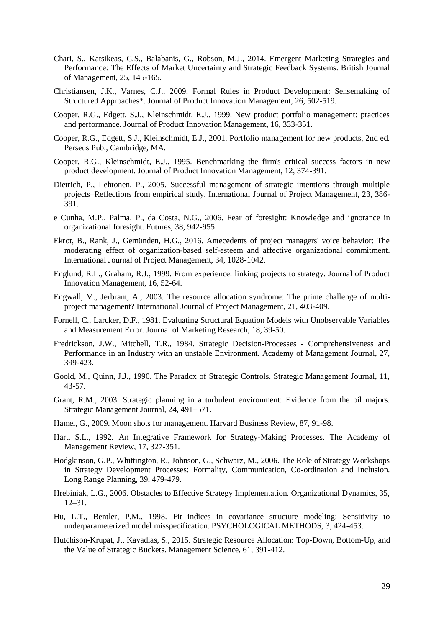- <span id="page-30-0"></span>Chari, S., Katsikeas, C.S., Balabanis, G., Robson, M.J., 2014. Emergent Marketing Strategies and Performance: The Effects of Market Uncertainty and Strategic Feedback Systems. British Journal of Management, 25, 145-165.
- Christiansen, J.K., Varnes, C.J., 2009. Formal Rules in Product Development: Sensemaking of Structured Approaches\*. Journal of Product Innovation Management, 26, 502-519.
- <span id="page-30-10"></span>Cooper, R.G., Edgett, S.J., Kleinschmidt, E.J., 1999. New product portfolio management: practices and performance. Journal of Product Innovation Management, 16, 333-351.
- <span id="page-30-9"></span>Cooper, R.G., Edgett, S.J., Kleinschmidt, E.J., 2001. Portfolio management for new products, 2nd ed. Perseus Pub., Cambridge, MA.
- <span id="page-30-15"></span>Cooper, R.G., Kleinschmidt, E.J., 1995. Benchmarking the firm's critical success factors in new product development. Journal of Product Innovation Management, 12, 374-391.
- <span id="page-30-11"></span>Dietrich, P., Lehtonen, P., 2005. Successful management of strategic intentions through multiple projects–Reflections from empirical study. International Journal of Project Management, 23, 386- 391.
- <span id="page-30-4"></span>e Cunha, M.P., Palma, P., da Costa, N.G., 2006. Fear of foresight: Knowledge and ignorance in organizational foresight. Futures, 38, 942-955.
- <span id="page-30-18"></span>Ekrot, B., Rank, J., Gemünden, H.G., 2016. Antecedents of project managers' voice behavior: The moderating effect of organization-based self-esteem and affective organizational commitment. International Journal of Project Management, 34, 1028-1042.
- <span id="page-30-12"></span>Englund, R.L., Graham, R.J., 1999. From experience: linking projects to strategy. Journal of Product Innovation Management, 16, 52-64.
- <span id="page-30-8"></span>Engwall, M., Jerbrant, A., 2003. The resource allocation syndrome: The prime challenge of multiproject management? International Journal of Project Management, 21, 403-409.
- <span id="page-30-17"></span>Fornell, C., Larcker, D.F., 1981. Evaluating Structural Equation Models with Unobservable Variables and Measurement Error. Journal of Marketing Research, 18, 39-50.
- <span id="page-30-13"></span>Fredrickson, J.W., Mitchell, T.R., 1984. Strategic Decision-Processes - Comprehensiveness and Performance in an Industry with an unstable Environment. Academy of Management Journal, 27, 399-423.
- <span id="page-30-7"></span>Goold, M., Quinn, J.J., 1990. The Paradox of Strategic Controls. Strategic Management Journal, 11, 43-57.
- <span id="page-30-2"></span>Grant, R.M., 2003. Strategic planning in a turbulent environment: Evidence from the oil majors. Strategic Management Journal, 24, 491–571.
- <span id="page-30-1"></span>Hamel, G., 2009. Moon shots for management. Harvard Business Review, 87, 91-98.
- <span id="page-30-6"></span>Hart, S.L., 1992. An Integrative Framework for Strategy-Making Processes. The Academy of Management Review, 17, 327-351.
- <span id="page-30-5"></span>Hodgkinson, G.P., Whittington, R., Johnson, G., Schwarz, M., 2006. The Role of Strategy Workshops in Strategy Development Processes: Formality, Communication, Co-ordination and Inclusion. Long Range Planning, 39, 479-479.
- <span id="page-30-3"></span>Hrebiniak, L.G., 2006. Obstacles to Effective Strategy Implementation. Organizational Dynamics, 35, 12–31.
- <span id="page-30-16"></span>Hu, L.T., Bentler, P.M., 1998. Fit indices in covariance structure modeling: Sensitivity to underparameterized model misspecification. PSYCHOLOGICAL METHODS, 3, 424-453.
- <span id="page-30-14"></span>Hutchison-Krupat, J., Kavadias, S., 2015. Strategic Resource Allocation: Top-Down, Bottom-Up, and the Value of Strategic Buckets. Management Science, 61, 391-412.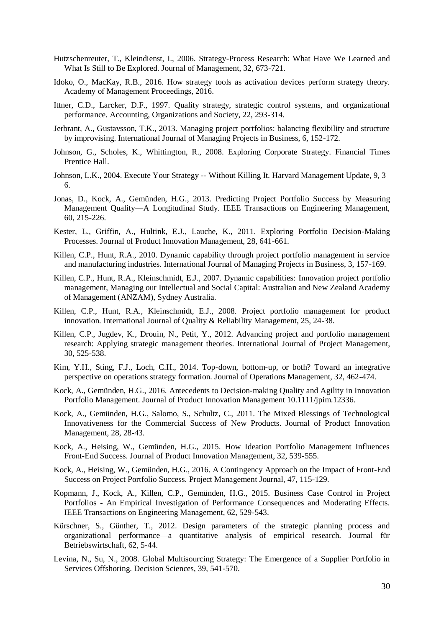- <span id="page-31-1"></span>Hutzschenreuter, T., Kleindienst, I., 2006. Strategy-Process Research: What Have We Learned and What Is Still to Be Explored. Journal of Management, 32, 673-721.
- <span id="page-31-16"></span>Idoko, O., MacKay, R.B., 2016. How strategy tools as activation devices perform strategy theory. Academy of Management Proceedings, 2016.
- <span id="page-31-13"></span>Ittner, C.D., Larcker, D.F., 1997. Quality strategy, strategic control systems, and organizational performance. Accounting, Organizations and Society, 22, 293-314.
- <span id="page-31-12"></span>Jerbrant, A., Gustavsson, T.K., 2013. Managing project portfolios: balancing flexibility and structure by improvising. International Journal of Managing Projects in Business, 6, 152-172.
- <span id="page-31-3"></span>Johnson, G., Scholes, K., Whittington, R., 2008. Exploring Corporate Strategy. Financial Times Prentice Hall.
- Johnson, L.K., 2004. Execute Your Strategy -- Without Killing It. Harvard Management Update, 9, 3– 6.
- <span id="page-31-7"></span>Jonas, D., Kock, A., Gemünden, H.G., 2013. Predicting Project Portfolio Success by Measuring Management Quality—A Longitudinal Study. IEEE Transactions on Engineering Management, 60, 215-226.
- Kester, L., Griffin, A., Hultink, E.J., Lauche, K., 2011. Exploring Portfolio Decision-Making Processes. Journal of Product Innovation Management, 28, 641-661.
- <span id="page-31-4"></span>Killen, C.P., Hunt, R.A., 2010. Dynamic capability through project portfolio management in service and manufacturing industries. International Journal of Managing Projects in Business, 3, 157-169.
- <span id="page-31-15"></span>Killen, C.P., Hunt, R.A., Kleinschmidt, E.J., 2007. Dynamic capabilities: Innovation project portfolio management, Managing our Intellectual and Social Capital: Australian and New Zealand Academy of Management (ANZAM), Sydney Australia.
- <span id="page-31-8"></span>Killen, C.P., Hunt, R.A., Kleinschmidt, E.J., 2008. Project portfolio management for product innovation. International Journal of Quality & Reliability Management, 25, 24-38.
- <span id="page-31-5"></span>Killen, C.P., Jugdev, K., Drouin, N., Petit, Y., 2012. Advancing project and portfolio management research: Applying strategic management theories. International Journal of Project Management, 30, 525-538.
- <span id="page-31-2"></span>Kim, Y.H., Sting, F.J., Loch, C.H., 2014. Top-down, bottom-up, or both? Toward an integrative perspective on operations strategy formation. Journal of Operations Management, 32, 462-474.
- <span id="page-31-6"></span>Kock, A., Gemünden, H.G., 2016. Antecedents to Decision-making Quality and Agility in Innovation Portfolio Management. Journal of Product Innovation Management 10.1111/jpim.12336.
- <span id="page-31-14"></span>Kock, A., Gemünden, H.G., Salomo, S., Schultz, C., 2011. The Mixed Blessings of Technological Innovativeness for the Commercial Success of New Products. Journal of Product Innovation Management, 28, 28-43.
- <span id="page-31-10"></span>Kock, A., Heising, W., Gemünden, H.G., 2015. How Ideation Portfolio Management Influences Front-End Success. Journal of Product Innovation Management, 32, 539-555.
- <span id="page-31-11"></span>Kock, A., Heising, W., Gemünden, H.G., 2016. A Contingency Approach on the Impact of Front-End Success on Project Portfolio Success. Project Management Journal, 47, 115-129.
- <span id="page-31-9"></span>Kopmann, J., Kock, A., Killen, C.P., Gemünden, H.G., 2015. Business Case Control in Project Portfolios - An Empirical Investigation of Performance Consequences and Moderating Effects. IEEE Transactions on Engineering Management, 62, 529-543.
- Kürschner, S., Günther, T., 2012. Design parameters of the strategic planning process and organizational performance—a quantitative analysis of empirical research. Journal für Betriebswirtschaft, 62, 5-44.
- <span id="page-31-0"></span>Levina, N., Su, N., 2008. Global Multisourcing Strategy: The Emergence of a Supplier Portfolio in Services Offshoring. Decision Sciences, 39, 541-570.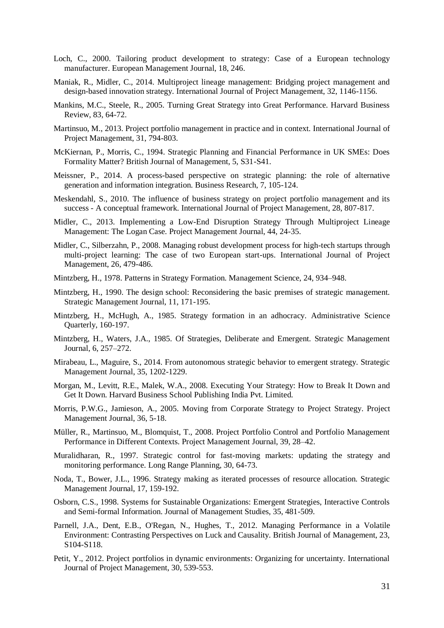- <span id="page-32-19"></span>Loch, C., 2000. Tailoring product development to strategy: Case of a European technology manufacturer. European Management Journal, 18, 246.
- <span id="page-32-15"></span>Maniak, R., Midler, C., 2014. Multiproject lineage management: Bridging project management and design-based innovation strategy. International Journal of Project Management, 32, 1146-1156.
- Mankins, M.C., Steele, R., 2005. Turning Great Strategy into Great Performance. Harvard Business Review, 83, 64-72.
- <span id="page-32-16"></span>Martinsuo, M., 2013. Project portfolio management in practice and in context. International Journal of Project Management, 31, 794-803.
- <span id="page-32-2"></span>McKiernan, P., Morris, C., 1994. Strategic Planning and Financial Performance in UK SMEs: Does Formality Matter? British Journal of Management, 5, S31-S41.
- <span id="page-32-9"></span>Meissner, P., 2014. A process-based perspective on strategic planning: the role of alternative generation and information integration. Business Research, 7, 105-124.
- <span id="page-32-4"></span>Meskendahl, S., 2010. The influence of business strategy on project portfolio management and its success - A conceptual framework. International Journal of Project Management, 28, 807-817.
- <span id="page-32-17"></span>Midler, C., 2013. Implementing a Low-End Disruption Strategy Through Multiproject Lineage Management: The Logan Case. Project Management Journal, 44, 24-35.
- <span id="page-32-18"></span>Midler, C., Silberzahn, P., 2008. Managing robust development process for high-tech startups through multi-project learning: The case of two European start-ups. International Journal of Project Management, 26, 479-486.
- <span id="page-32-0"></span>Mintzberg, H., 1978. Patterns in Strategy Formation. Management Science, 24, 934–948.
- <span id="page-32-11"></span>Mintzberg, H., 1990. The design school: Reconsidering the basic premises of strategic management. Strategic Management Journal, 11, 171-195.
- <span id="page-32-20"></span>Mintzberg, H., McHugh, A., 1985. Strategy formation in an adhocracy. Administrative Science Quarterly, 160-197.
- <span id="page-32-1"></span>Mintzberg, H., Waters, J.A., 1985. Of Strategies, Deliberate and Emergent. Strategic Management Journal, 6, 257–272.
- <span id="page-32-7"></span>Mirabeau, L., Maguire, S., 2014. From autonomous strategic behavior to emergent strategy. Strategic Management Journal, 35, 1202-1229.
- <span id="page-32-5"></span>Morgan, M., Levitt, R.E., Malek, W.A., 2008. Executing Your Strategy: How to Break It Down and Get It Down. Harvard Business School Publishing India Pvt. Limited.
- <span id="page-32-10"></span>Morris, P.W.G., Jamieson, A., 2005. Moving from Corporate Strategy to Project Strategy. Project Management Journal, 36, 5-18.
- <span id="page-32-14"></span>Müller, R., Martinsuo, M., Blomquist, T., 2008. Project Portfolio Control and Portfolio Management Performance in Different Contexts. Project Management Journal, 39, 28–42.
- <span id="page-32-13"></span>Muralidharan, R., 1997. Strategic control for fast-moving markets: updating the strategy and monitoring performance. Long Range Planning, 30, 64-73.
- <span id="page-32-6"></span>Noda, T., Bower, J.L., 1996. Strategy making as iterated processes of resource allocation. Strategic Management Journal, 17, 159-192.
- <span id="page-32-8"></span>Osborn, C.S., 1998. Systems for Sustainable Organizations: Emergent Strategies, Interactive Controls and Semi-formal Information. Journal of Management Studies, 35, 481-509.
- <span id="page-32-3"></span>Parnell, J.A., Dent, E.B., O'Regan, N., Hughes, T., 2012. Managing Performance in a Volatile Environment: Contrasting Perspectives on Luck and Causality. British Journal of Management, 23, S104-S118.
- <span id="page-32-12"></span>Petit, Y., 2012. Project portfolios in dynamic environments: Organizing for uncertainty. International Journal of Project Management, 30, 539-553.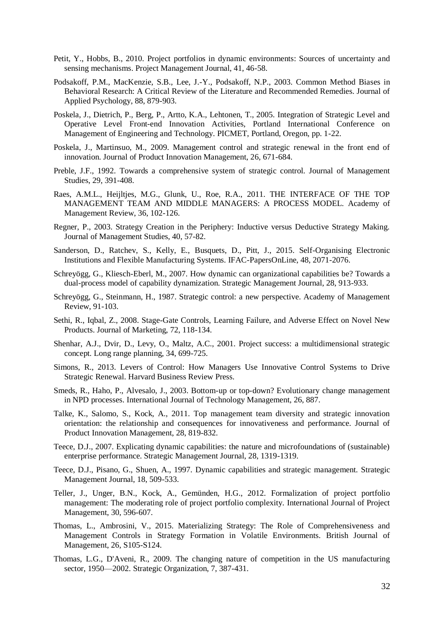- <span id="page-33-9"></span>Petit, Y., Hobbs, B., 2010. Project portfolios in dynamic environments: Sources of uncertainty and sensing mechanisms. Project Management Journal, 41, 46-58.
- <span id="page-33-15"></span>Podsakoff, P.M., MacKenzie, S.B., Lee, J.-Y., Podsakoff, N.P., 2003. Common Method Biases in Behavioral Research: A Critical Review of the Literature and Recommended Remedies. Journal of Applied Psychology, 88, 879-903.
- <span id="page-33-7"></span>Poskela, J., Dietrich, P., Berg, P., Artto, K.A., Lehtonen, T., 2005. Integration of Strategic Level and Operative Level Front-end Innovation Activities, Portland International Conference on Management of Engineering and Technology. PICMET, Portland, Oregon, pp. 1-22.
- <span id="page-33-8"></span>Poskela, J., Martinsuo, M., 2009. Management control and strategic renewal in the front end of innovation. Journal of Product Innovation Management, 26, 671-684.
- <span id="page-33-11"></span>Preble, J.F., 1992. Towards a comprehensive system of strategic control. Journal of Management Studies, 29, 391-408.
- <span id="page-33-2"></span>Raes, A.M.L., Heijltjes, M.G., Glunk, U., Roe, R.A., 2011. THE INTERFACE OF THE TOP MANAGEMENT TEAM AND MIDDLE MANAGERS: A PROCESS MODEL. Academy of Management Review, 36, 102-126.
- <span id="page-33-3"></span>Regner, P., 2003. Strategy Creation in the Periphery: Inductive versus Deductive Strategy Making. Journal of Management Studies, 40, 57-82.
- <span id="page-33-18"></span>Sanderson, D., Ratchev, S., Kelly, E., Busquets, D., Pitt, J., 2015. Self-Organising Electronic Institutions and Flexible Manufacturing Systems. IFAC-PapersOnLine, 48, 2071-2076.
- <span id="page-33-17"></span>Schreyögg, G., Kliesch-Eberl, M., 2007. How dynamic can organizational capabilities be? Towards a dual-process model of capability dynamization. Strategic Management Journal, 28, 913-933.
- <span id="page-33-10"></span>Schreyögg, G., Steinmann, H., 1987. Strategic control: a new perspective. Academy of Management Review, 91-103.
- Sethi, R., Iqbal, Z., 2008. Stage-Gate Controls, Learning Failure, and Adverse Effect on Novel New Products. Journal of Marketing, 72, 118-134.
- <span id="page-33-4"></span>Shenhar, A.J., Dvir, D., Levy, O., Maltz, A.C., 2001. Project success: a multidimensional strategic concept. Long range planning, 34, 699-725.
- <span id="page-33-5"></span>Simons, R., 2013. Levers of Control: How Managers Use Innovative Control Systems to Drive Strategic Renewal. Harvard Business Review Press.
- <span id="page-33-13"></span>Smeds, R., Haho, P., Alvesalo, J., 2003. Bottom-up or top-down? Evolutionary change management in NPD processes. International Journal of Technology Management, 26, 887.
- <span id="page-33-16"></span>Talke, K., Salomo, S., Kock, A., 2011. Top management team diversity and strategic innovation orientation: the relationship and consequences for innovativeness and performance. Journal of Product Innovation Management, 28, 819-832.
- <span id="page-33-14"></span>Teece, D.J., 2007. Explicating dynamic capabilities: the nature and microfoundations of (sustainable) enterprise performance. Strategic Management Journal, 28, 1319-1319.
- <span id="page-33-6"></span>Teece, D.J., Pisano, G., Shuen, A., 1997. Dynamic capabilities and strategic management. Strategic Management Journal, 18, 509-533.
- <span id="page-33-12"></span>Teller, J., Unger, B.N., Kock, A., Gemünden, H.G., 2012. Formalization of project portfolio management: The moderating role of project portfolio complexity. International Journal of Project Management, 30, 596-607.
- <span id="page-33-1"></span>Thomas, L., Ambrosini, V., 2015. Materializing Strategy: The Role of Comprehensiveness and Management Controls in Strategy Formation in Volatile Environments. British Journal of Management, 26, S105-S124.
- <span id="page-33-0"></span>Thomas, L.G., D'Aveni, R., 2009. The changing nature of competition in the US manufacturing sector, 1950—2002. Strategic Organization, 7, 387-431.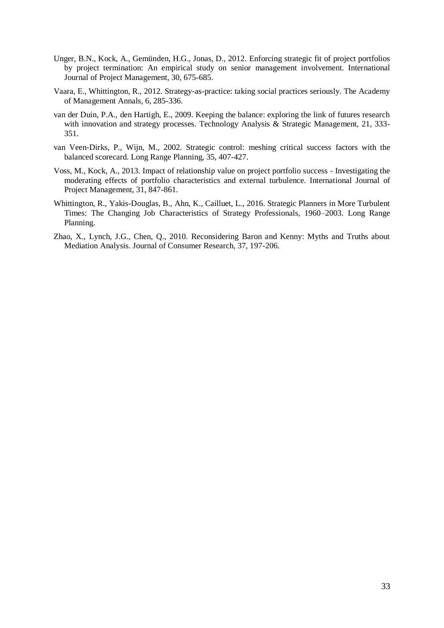- <span id="page-34-2"></span>Unger, B.N., Kock, A., Gemünden, H.G., Jonas, D., 2012. Enforcing strategic fit of project portfolios by project termination: An empirical study on senior management involvement. International Journal of Project Management, 30, 675-685.
- <span id="page-34-0"></span>Vaara, E., Whittington, R., 2012. Strategy-as-practice: taking social practices seriously. The Academy of Management Annals, 6, 285-336.
- <span id="page-34-6"></span>van der Duin, P.A., den Hartigh, E., 2009. Keeping the balance: exploring the link of futures research with innovation and strategy processes. Technology Analysis & Strategic Management, 21, 333-351.
- <span id="page-34-3"></span>van Veen-Dirks, P., Wijn, M., 2002. Strategic control: meshing critical success factors with the balanced scorecard. Long Range Planning, 35, 407-427.
- <span id="page-34-4"></span>Voss, M., Kock, A., 2013. Impact of relationship value on project portfolio success - Investigating the moderating effects of portfolio characteristics and external turbulence. International Journal of Project Management, 31, 847-861.
- <span id="page-34-1"></span>Whittington, R., Yakis-Douglas, B., Ahn, K., Cailluet, L., 2016. Strategic Planners in More Turbulent Times: The Changing Job Characteristics of Strategy Professionals, 1960–2003. Long Range Planning.
- <span id="page-34-5"></span>Zhao, X., Lynch, J.G., Chen, Q., 2010. Reconsidering Baron and Kenny: Myths and Truths about Mediation Analysis. Journal of Consumer Research, 37, 197-206.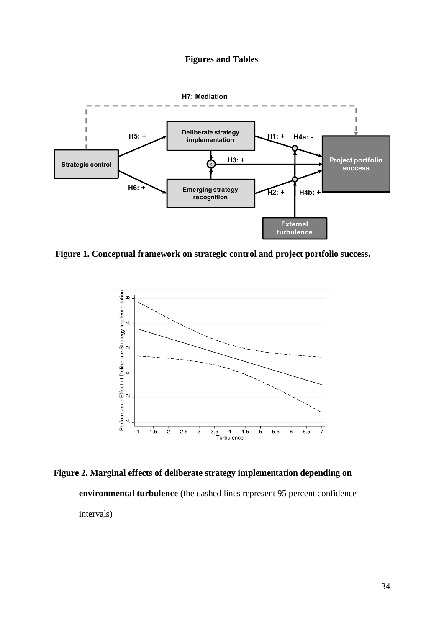## **Figures and Tables**



**Figure 1. Conceptual framework on strategic control and project portfolio success.**



**Figure 2. Marginal effects of deliberate strategy implementation depending on environmental turbulence** (the dashed lines represent 95 percent confidence intervals)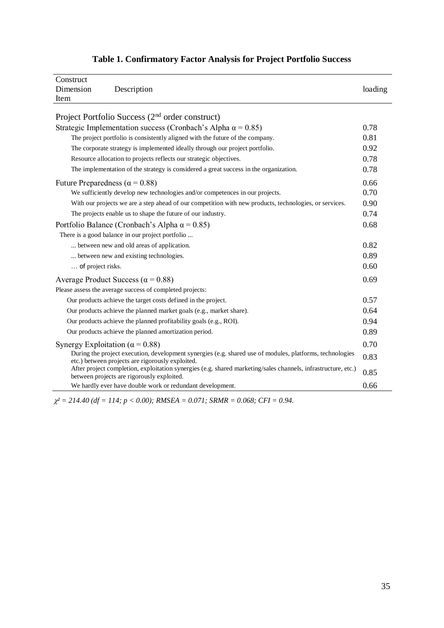| Construct                                                                                                                                                    |              |  |  |  |  |  |
|--------------------------------------------------------------------------------------------------------------------------------------------------------------|--------------|--|--|--|--|--|
| Dimension<br>Description                                                                                                                                     | loading      |  |  |  |  |  |
| Item                                                                                                                                                         |              |  |  |  |  |  |
|                                                                                                                                                              |              |  |  |  |  |  |
| Project Portfolio Success $(2nd order construct)$                                                                                                            |              |  |  |  |  |  |
| Strategic Implementation success (Cronbach's Alpha $\alpha$ = 0.85)                                                                                          | 0.78<br>0.81 |  |  |  |  |  |
| The project portfolio is consistently aligned with the future of the company.                                                                                |              |  |  |  |  |  |
| 0.92<br>The corporate strategy is implemented ideally through our project portfolio.                                                                         |              |  |  |  |  |  |
| Resource allocation to projects reflects our strategic objectives.                                                                                           |              |  |  |  |  |  |
| The implementation of the strategy is considered a great success in the organization.                                                                        |              |  |  |  |  |  |
| Future Preparedness ( $\alpha$ = 0.88)                                                                                                                       | 0.66         |  |  |  |  |  |
| We sufficiently develop new technologies and/or competences in our projects.                                                                                 | 0.70         |  |  |  |  |  |
| With our projects we are a step ahead of our competition with new products, technologies, or services.                                                       | 0.90         |  |  |  |  |  |
| The projects enable us to shape the future of our industry.                                                                                                  | 0.74         |  |  |  |  |  |
| Portfolio Balance (Cronbach's Alpha $\alpha$ = 0.85)                                                                                                         |              |  |  |  |  |  |
| There is a good balance in our project portfolio                                                                                                             |              |  |  |  |  |  |
| between new and old areas of application.                                                                                                                    | 0.82         |  |  |  |  |  |
| between new and existing technologies.                                                                                                                       | 0.89         |  |  |  |  |  |
| of project risks.                                                                                                                                            | 0.60         |  |  |  |  |  |
| Average Product Success ( $\alpha$ = 0.88)                                                                                                                   | 0.69         |  |  |  |  |  |
| Please assess the average success of completed projects:                                                                                                     |              |  |  |  |  |  |
| Our products achieve the target costs defined in the project.                                                                                                | 0.57         |  |  |  |  |  |
| Our products achieve the planned market goals (e.g., market share).                                                                                          | 0.64         |  |  |  |  |  |
| Our products achieve the planned profitability goals (e.g., ROI).                                                                                            | 0.94         |  |  |  |  |  |
| Our products achieve the planned amortization period.                                                                                                        | 0.89         |  |  |  |  |  |
| Synergy Exploitation ( $\alpha$ = 0.88)                                                                                                                      | 0.70         |  |  |  |  |  |
| During the project execution, development synergies (e.g. shared use of modules, platforms, technologies<br>etc.) between projects are rigorously exploited. | 0.83         |  |  |  |  |  |
| After project completion, exploitation synergies (e.g. shared marketing/sales channels, infrastructure, etc.)<br>between projects are rigorously exploited.  | 0.85         |  |  |  |  |  |
| We hardly ever have double work or redundant development.                                                                                                    | 0.66         |  |  |  |  |  |

## **Table 1. Confirmatory Factor Analysis for Project Portfolio Success**

 $\chi^2 = 214.40$  (df = 114; p < 0.00); RMSEA = 0.071; SRMR = 0.068; CFI = 0.94.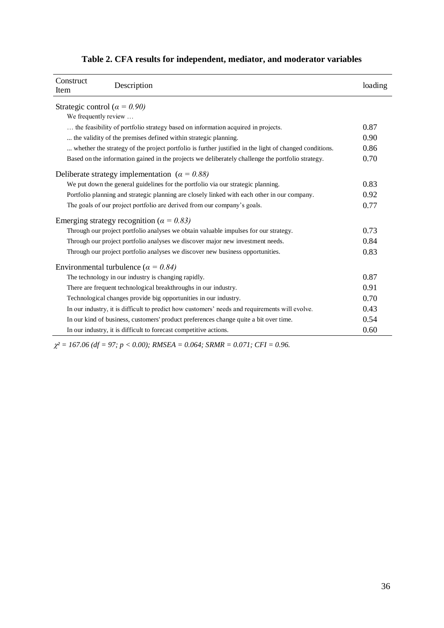| Construct<br>Item                                                                                      | Description                                                                                    | loading |  |  |  |  |
|--------------------------------------------------------------------------------------------------------|------------------------------------------------------------------------------------------------|---------|--|--|--|--|
| Strategic control ( $\alpha = 0.90$ )<br>We frequently review                                          |                                                                                                |         |  |  |  |  |
|                                                                                                        | the feasibility of portfolio strategy based on information acquired in projects.               | 0.87    |  |  |  |  |
| the validity of the premises defined within strategic planning.                                        |                                                                                                |         |  |  |  |  |
| whether the strategy of the project portfolio is further justified in the light of changed conditions. |                                                                                                |         |  |  |  |  |
| Based on the information gained in the projects we deliberately challenge the portfolio strategy.      |                                                                                                |         |  |  |  |  |
|                                                                                                        | Deliberate strategy implementation ( $\alpha = 0.88$ )                                         |         |  |  |  |  |
| We put down the general guidelines for the portfolio via our strategic planning.                       |                                                                                                |         |  |  |  |  |
|                                                                                                        | Portfolio planning and strategic planning are closely linked with each other in our company.   | 0.92    |  |  |  |  |
| The goals of our project portfolio are derived from our company's goals.                               |                                                                                                |         |  |  |  |  |
|                                                                                                        | Emerging strategy recognition ( $\alpha = 0.83$ )                                              |         |  |  |  |  |
|                                                                                                        | Through our project portfolio analyses we obtain valuable impulses for our strategy.           | 0.73    |  |  |  |  |
|                                                                                                        | Through our project portfolio analyses we discover major new investment needs.                 | 0.84    |  |  |  |  |
| Through our project portfolio analyses we discover new business opportunities.                         |                                                                                                |         |  |  |  |  |
|                                                                                                        | Environmental turbulence ( $\alpha = 0.84$ )                                                   |         |  |  |  |  |
|                                                                                                        | The technology in our industry is changing rapidly.                                            | 0.87    |  |  |  |  |
|                                                                                                        | There are frequent technological breakthroughs in our industry.                                | 0.91    |  |  |  |  |
|                                                                                                        | Technological changes provide big opportunities in our industry.                               | 0.70    |  |  |  |  |
|                                                                                                        | In our industry, it is difficult to predict how customers' needs and requirements will evolve. | 0.43    |  |  |  |  |
|                                                                                                        | In our kind of business, customers' product preferences change quite a bit over time.          | 0.54    |  |  |  |  |
|                                                                                                        | In our industry, it is difficult to forecast competitive actions.                              | 0.60    |  |  |  |  |

## **Table 2. CFA results for independent, mediator, and moderator variables**

 $\chi^2 = 167.06$  (df = 97; p < 0.00); RMSEA = 0.064; SRMR = 0.071; CFI = 0.96.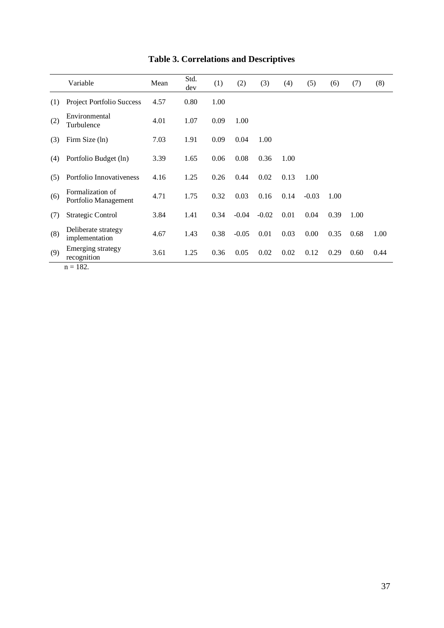|     | Variable                                 | Mean | Std.<br>dev | (1)  | (2)     | (3)     | (4)  | (5)     | (6)  | (7)  | (8)  |
|-----|------------------------------------------|------|-------------|------|---------|---------|------|---------|------|------|------|
| (1) | <b>Project Portfolio Success</b>         | 4.57 | 0.80        | 1.00 |         |         |      |         |      |      |      |
| (2) | Environmental<br>Turbulence              | 4.01 | 1.07        | 0.09 | 1.00    |         |      |         |      |      |      |
| (3) | Firm Size (ln)                           | 7.03 | 1.91        | 0.09 | 0.04    | 1.00    |      |         |      |      |      |
| (4) | Portfolio Budget (ln)                    | 3.39 | 1.65        | 0.06 | 0.08    | 0.36    | 1.00 |         |      |      |      |
| (5) | Portfolio Innovativeness                 | 4.16 | 1.25        | 0.26 | 0.44    | 0.02    | 0.13 | 1.00    |      |      |      |
| (6) | Formalization of<br>Portfolio Management | 4.71 | 1.75        | 0.32 | 0.03    | 0.16    | 0.14 | $-0.03$ | 1.00 |      |      |
| (7) | Strategic Control                        | 3.84 | 1.41        | 0.34 | $-0.04$ | $-0.02$ | 0.01 | 0.04    | 0.39 | 1.00 |      |
| (8) | Deliberate strategy<br>implementation    | 4.67 | 1.43        | 0.38 | $-0.05$ | 0.01    | 0.03 | 0.00    | 0.35 | 0.68 | 1.00 |
| (9) | Emerging strategy<br>recognition         | 3.61 | 1.25        | 0.36 | 0.05    | 0.02    | 0.02 | 0.12    | 0.29 | 0.60 | 0.44 |

## **Table 3. Correlations and Descriptives**

 $n = 182.$